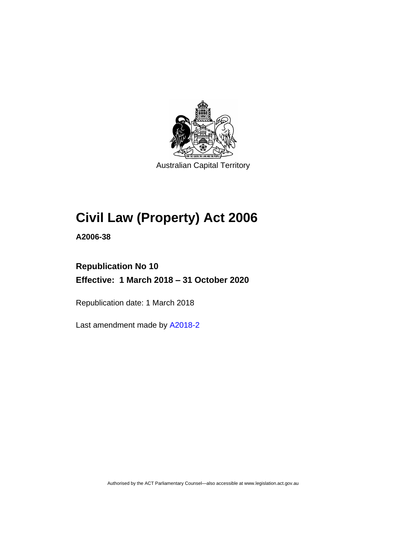

Australian Capital Territory

# **Civil Law (Property) Act 2006**

**A2006-38**

# **Republication No 10 Effective: 1 March 2018 – 31 October 2020**

Republication date: 1 March 2018

Last amendment made by [A2018-2](http://www.legislation.act.gov.au/a/2018-2/default.asp)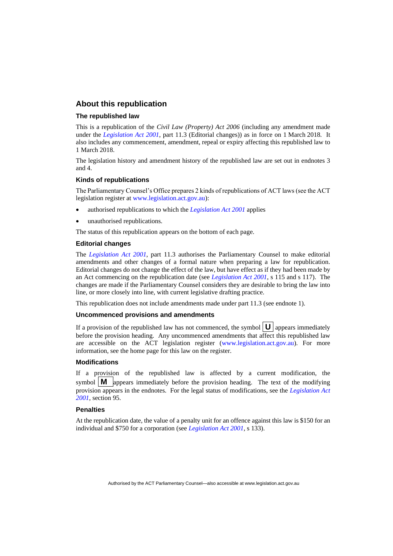#### **About this republication**

#### **The republished law**

This is a republication of the *Civil Law (Property) Act 2006* (including any amendment made under the *[Legislation Act 2001](http://www.legislation.act.gov.au/a/2001-14)*, part 11.3 (Editorial changes)) as in force on 1 March 2018*.* It also includes any commencement, amendment, repeal or expiry affecting this republished law to 1 March 2018.

The legislation history and amendment history of the republished law are set out in endnotes 3 and 4.

#### **Kinds of republications**

The Parliamentary Counsel's Office prepares 2 kinds of republications of ACT laws (see the ACT legislation register at [www.legislation.act.gov.au\)](http://www.legislation.act.gov.au/):

- authorised republications to which the *[Legislation Act 2001](http://www.legislation.act.gov.au/a/2001-14)* applies
- unauthorised republications.

The status of this republication appears on the bottom of each page.

#### **Editorial changes**

The *[Legislation Act 2001](http://www.legislation.act.gov.au/a/2001-14)*, part 11.3 authorises the Parliamentary Counsel to make editorial amendments and other changes of a formal nature when preparing a law for republication. Editorial changes do not change the effect of the law, but have effect as if they had been made by an Act commencing on the republication date (see *[Legislation Act 2001](http://www.legislation.act.gov.au/a/2001-14)*, s 115 and s 117). The changes are made if the Parliamentary Counsel considers they are desirable to bring the law into line, or more closely into line, with current legislative drafting practice.

This republication does not include amendments made under part 11.3 (see endnote 1).

#### **Uncommenced provisions and amendments**

If a provision of the republished law has not commenced, the symbol  $\mathbf{U}$  appears immediately before the provision heading. Any uncommenced amendments that affect this republished law are accessible on the ACT legislation register [\(www.legislation.act.gov.au\)](http://www.legislation.act.gov.au/). For more information, see the home page for this law on the register.

#### **Modifications**

If a provision of the republished law is affected by a current modification, the symbol  $\mathbf{M}$  appears immediately before the provision heading. The text of the modifying provision appears in the endnotes. For the legal status of modifications, see the *[Legislation Act](http://www.legislation.act.gov.au/a/2001-14)  [2001](http://www.legislation.act.gov.au/a/2001-14)*, section 95.

#### **Penalties**

At the republication date, the value of a penalty unit for an offence against this law is \$150 for an individual and \$750 for a corporation (see *[Legislation Act 2001](http://www.legislation.act.gov.au/a/2001-14)*, s 133).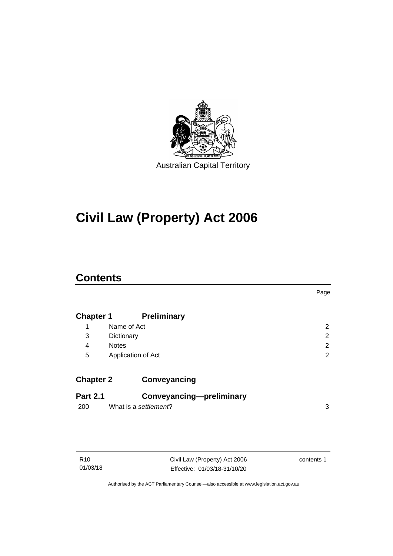

# **Civil Law (Property) Act 2006**

## **Contents**

|                  |                          | Page           |
|------------------|--------------------------|----------------|
| <b>Chapter 1</b> | <b>Preliminary</b>       |                |
| 1                | Name of Act              | 2              |
| 3                | Dictionary               | $\overline{2}$ |
| 4                | <b>Notes</b>             | 2              |
| 5                | Application of Act       | 2              |
| <b>Chapter 2</b> | Conveyancing             |                |
| <b>Part 2.1</b>  | Conveyancing-preliminary |                |
| 200              | What is a settlement?    | 3              |
|                  |                          |                |

| R10      |  |
|----------|--|
| 01/03/18 |  |

Civil Law (Property) Act 2006 Effective: 01/03/18-31/10/20 contents 1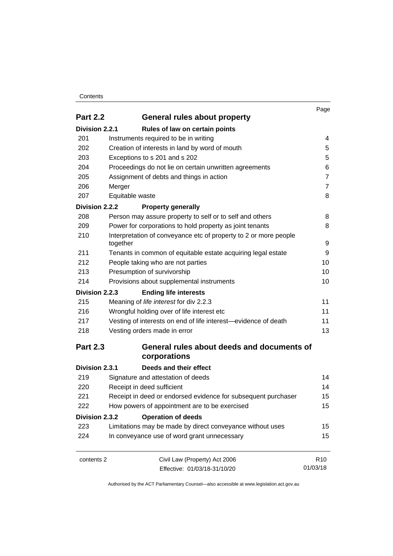#### **Contents**

|                                                 |                                                                              | Page            |
|-------------------------------------------------|------------------------------------------------------------------------------|-----------------|
| <b>Part 2.2</b><br>General rules about property |                                                                              |                 |
| Division 2.2.1                                  | Rules of law on certain points                                               |                 |
| 201                                             | Instruments required to be in writing                                        | 4               |
| 202                                             | Creation of interests in land by word of mouth                               | 5               |
| 203                                             | Exceptions to s 201 and s 202                                                | 5               |
| 204                                             | Proceedings do not lie on certain unwritten agreements                       | 6               |
| 205                                             | Assignment of debts and things in action                                     | $\overline{7}$  |
| 206                                             | Merger                                                                       | $\overline{7}$  |
| 207                                             | Equitable waste                                                              | 8               |
| Division 2.2.2                                  | <b>Property generally</b>                                                    |                 |
| 208                                             | Person may assure property to self or to self and others                     | 8               |
| 209                                             | Power for corporations to hold property as joint tenants                     | 8               |
| 210                                             | Interpretation of conveyance etc of property to 2 or more people<br>together | 9               |
| 211                                             | Tenants in common of equitable estate acquiring legal estate                 | 9               |
| 212                                             | People taking who are not parties                                            | 10              |
| 213                                             | Presumption of survivorship                                                  | 10              |
| 214                                             | Provisions about supplemental instruments                                    | 10              |
| Division 2.2.3                                  | <b>Ending life interests</b>                                                 |                 |
| 215                                             | Meaning of life interest for div 2.2.3                                       | 11              |
| 216                                             | Wrongful holding over of life interest etc                                   | 11              |
| 217                                             | Vesting of interests on end of life interest-evidence of death               | 11              |
| 218                                             | Vesting orders made in error                                                 | 13              |
| <b>Part 2.3</b>                                 | General rules about deeds and documents of<br>corporations                   |                 |
| Division 2.3.1                                  | Deeds and their effect                                                       |                 |
| 219                                             | Signature and attestation of deeds                                           | 14              |
| 220                                             | Receipt in deed sufficient                                                   | 14              |
| 221                                             | Receipt in deed or endorsed evidence for subsequent purchaser                | 15              |
| 222                                             | How powers of appointment are to be exercised                                | 15              |
| Division 2.3.2                                  | <b>Operation of deeds</b>                                                    |                 |
| 223                                             | Limitations may be made by direct conveyance without uses                    | 15              |
| 224                                             | In conveyance use of word grant unnecessary                                  | 15              |
| contents 2                                      | Civil Law (Property) Act 2006                                                | R <sub>10</sub> |
|                                                 | Effective: 01/03/18-31/10/20                                                 | 01/03/18        |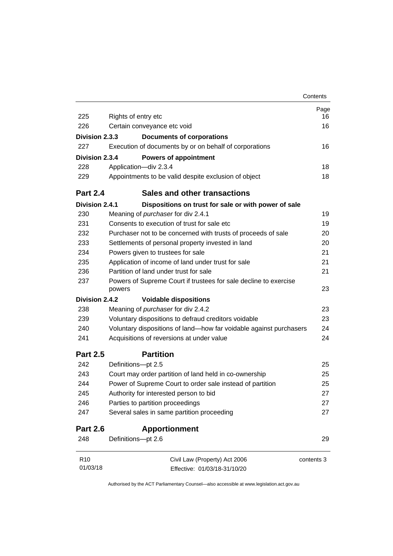|                 |                                                                            | Contents   |
|-----------------|----------------------------------------------------------------------------|------------|
|                 |                                                                            | Page       |
| 225             | Rights of entry etc                                                        | 16         |
| 226             | Certain conveyance etc void                                                | 16         |
| Division 2.3.3  | <b>Documents of corporations</b>                                           |            |
| 227             | Execution of documents by or on behalf of corporations                     | 16         |
| Division 2.3.4  | <b>Powers of appointment</b>                                               |            |
| 228             | Application-div 2.3.4                                                      | 18         |
| 229             | Appointments to be valid despite exclusion of object                       | 18         |
| <b>Part 2.4</b> | Sales and other transactions                                               |            |
| Division 2.4.1  | Dispositions on trust for sale or with power of sale                       |            |
| 230             | Meaning of <i>purchaser</i> for div 2.4.1                                  | 19         |
| 231             | Consents to execution of trust for sale etc                                | 19         |
| 232             | Purchaser not to be concerned with trusts of proceeds of sale              | 20         |
| 233             | Settlements of personal property invested in land                          | 20         |
| 234             | Powers given to trustees for sale                                          | 21         |
| 235             | Application of income of land under trust for sale                         | 21         |
| 236             | Partition of land under trust for sale                                     | 21         |
| 237             | Powers of Supreme Court if trustees for sale decline to exercise<br>powers | 23         |
| Division 2.4.2  | <b>Voidable dispositions</b>                                               |            |
| 238             | Meaning of <i>purchaser</i> for div 2.4.2                                  | 23         |
| 239             | Voluntary dispositions to defraud creditors voidable                       | 23         |
| 240             | Voluntary dispositions of land-how far voidable against purchasers         | 24         |
| 241             | Acquisitions of reversions at under value                                  | 24         |
| <b>Part 2.5</b> | <b>Partition</b>                                                           |            |
| 242             | Definitions-pt 2.5                                                         | 25         |
| 243             | Court may order partition of land held in co-ownership                     | 25         |
| 244             | Power of Supreme Court to order sale instead of partition                  | 25         |
| 245             | Authority for interested person to bid                                     | 27         |
| 246             | Parties to partition proceedings                                           | 27         |
| 247             | Several sales in same partition proceeding                                 | 27         |
| <b>Part 2.6</b> | <b>Apportionment</b>                                                       |            |
| 248             | Definitions-pt 2.6                                                         | 29         |
| R <sub>10</sub> | Civil Law (Property) Act 2006                                              | contents 3 |
| 01/03/18        | Effective: 01/03/18-31/10/20                                               |            |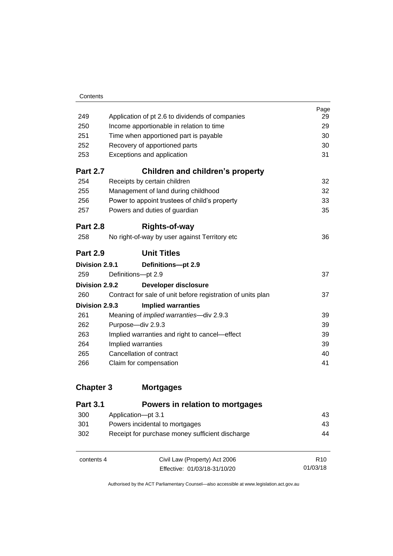| 249             | Application of pt 2.6 to dividends of companies             | Page<br>29 |
|-----------------|-------------------------------------------------------------|------------|
| 250             | Income apportionable in relation to time                    | 29         |
| 251             | Time when apportioned part is payable                       | 30         |
| 252             | Recovery of apportioned parts                               | 30         |
| 253             | Exceptions and application                                  | 31         |
| <b>Part 2.7</b> | <b>Children and children's property</b>                     |            |
| 254             | Receipts by certain children                                | 32         |
| 255             | Management of land during childhood                         | 32         |
| 256             | Power to appoint trustees of child's property               | 33         |
| 257             | Powers and duties of guardian                               | 35         |
| <b>Part 2.8</b> | <b>Rights-of-way</b>                                        |            |
| 258             | No right-of-way by user against Territory etc               | 36         |
| <b>Part 2.9</b> | <b>Unit Titles</b>                                          |            |
| Division 2.9.1  | Definitions-pt 2.9                                          |            |
| 259             | Definitions-pt 2.9                                          | 37         |
| Division 2.9.2  | Developer disclosure                                        |            |
| 260             | Contract for sale of unit before registration of units plan | 37         |
| Division 2.9.3  | <b>Implied warranties</b>                                   |            |
| 261             | Meaning of <i>implied warranties</i> —div 2.9.3             | 39         |
| 262             | Purpose-div 2.9.3                                           | 39         |
| 263             | Implied warranties and right to cancel-effect               | 39         |
| 264             | Implied warranties                                          | 39         |
| 265             | Cancellation of contract                                    | 40         |
| 266             |                                                             |            |
|                 | Claim for compensation                                      | 41         |

## **Chapter 3 [Mortgages](#page-52-0)**

| <b>Part 3.1</b> | Powers in relation to mortgages                 |                 |
|-----------------|-------------------------------------------------|-----------------|
| 300             | Application-pt 3.1                              | 43              |
| 301             | Powers incidental to mortgages                  | 43              |
| 302             | Receipt for purchase money sufficient discharge | 44              |
| contents 4      | Civil Law (Property) Act 2006                   | R <sub>10</sub> |
|                 | Effective: 01/03/18-31/10/20                    | 01/03/18        |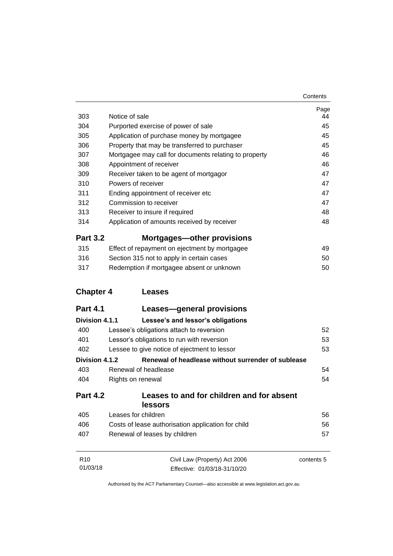| Contents |
|----------|
|----------|

| 303              | Notice of sale                                        | Page<br>44 |
|------------------|-------------------------------------------------------|------------|
| 304              | Purported exercise of power of sale                   | 45         |
| 305              | Application of purchase money by mortgagee            | 45         |
| 306              | Property that may be transferred to purchaser         | 45         |
| 307              | Mortgagee may call for documents relating to property | 46         |
| 308              | Appointment of receiver                               | 46         |
| 309              | Receiver taken to be agent of mortgagor               | 47         |
| 310              | Powers of receiver                                    | 47         |
| 311              | Ending appointment of receiver etc                    | 47         |
| 312              | Commission to receiver                                | 47         |
| 313              | Receiver to insure if required                        | 48         |
| 314              | Application of amounts received by receiver           | 48         |
| <b>Part 3.2</b>  | Mortgages—other provisions                            |            |
| 315              | Effect of repayment on ejectment by mortgagee         | 49         |
| 316              | Section 315 not to apply in certain cases             | 50         |
| 317              | Redemption if mortgagee absent or unknown             | 50         |
| <b>Chapter 4</b> | <b>Leases</b>                                         |            |
| <b>Part 4.1</b>  | Leases—general provisions                             |            |
| Division 4.1.1   | Lessee's and lessor's obligations                     |            |
| 400              | Lessee's obligations attach to reversion              | 52         |
| 401              | Lessor's obligations to run with reversion            | 53         |
| 402              | Lessee to give notice of ejectment to lessor          | 53         |
| Division 4.1.2   | Renewal of headlease without surrender of sublease    |            |
| 403              | Renewal of headlease                                  | 54         |
| 404              | Rights on renewal                                     | 54         |
| <b>Part 4.2</b>  | Leases to and for children and for absent<br>lessors  |            |
| 405              | Leases for children                                   | 56         |
| 406              | Costs of lease authorisation application for child    | 56         |
| 407              | Renewal of leases by children                         | 57         |
| R <sub>10</sub>  | Civil Law (Property) Act 2006                         | contents 5 |
| 01/03/18         | Effective: 01/03/18-31/10/20                          |            |
|                  |                                                       |            |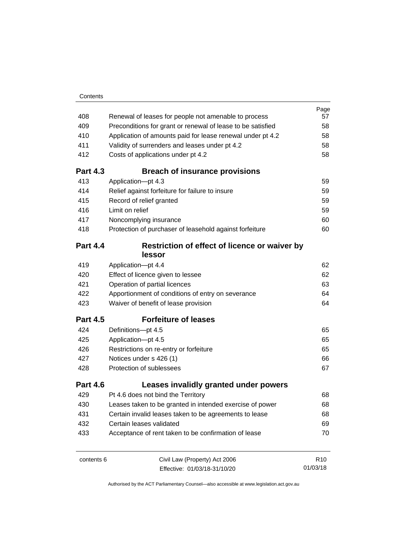|                 |                                                             | Page            |
|-----------------|-------------------------------------------------------------|-----------------|
| 408             | Renewal of leases for people not amenable to process        | 57              |
| 409             | Preconditions for grant or renewal of lease to be satisfied | 58              |
| 410             | Application of amounts paid for lease renewal under pt 4.2  | 58              |
| 411             | Validity of surrenders and leases under pt 4.2              | 58              |
| 412             | Costs of applications under pt 4.2                          | 58              |
| <b>Part 4.3</b> | <b>Breach of insurance provisions</b>                       |                 |
| 413             | Application-pt 4.3                                          | 59              |
| 414             | Relief against forfeiture for failure to insure             | 59              |
| 415             | Record of relief granted                                    | 59              |
| 416             | Limit on relief                                             | 59              |
| 417             | Noncomplying insurance                                      | 60              |
| 418             | Protection of purchaser of leasehold against forfeiture     | 60              |
| <b>Part 4.4</b> | Restriction of effect of licence or waiver by               |                 |
|                 | lessor                                                      |                 |
| 419             | Application-pt 4.4                                          | 62              |
| 420             | Effect of licence given to lessee                           | 62              |
| 421             | Operation of partial licences                               | 63              |
| 422             | Apportionment of conditions of entry on severance           | 64              |
| 423             | Waiver of benefit of lease provision                        | 64              |
| <b>Part 4.5</b> | <b>Forfeiture of leases</b>                                 |                 |
| 424             | Definitions-pt 4.5                                          | 65              |
| 425             | Application-pt 4.5                                          | 65              |
| 426             | Restrictions on re-entry or forfeiture                      | 65              |
| 427             | Notices under s 426 (1)                                     | 66              |
| 428             | Protection of sublessees                                    | 67              |
| <b>Part 4.6</b> | Leases invalidly granted under powers                       |                 |
| 429             | Pt 4.6 does not bind the Territory                          | 68              |
| 430             | Leases taken to be granted in intended exercise of power    | 68              |
| 431             | Certain invalid leases taken to be agreements to lease      | 68              |
| 432             | Certain leases validated                                    | 69              |
| 433             | Acceptance of rent taken to be confirmation of lease        | 70              |
| contents 6      | Civil Law (Property) Act 2006                               | R <sub>10</sub> |
|                 | Effective: 01/03/18-31/10/20                                | 01/03/18        |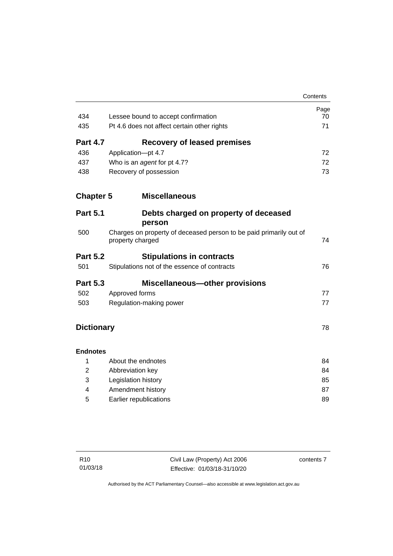|                   |                                                                                        | Contents |
|-------------------|----------------------------------------------------------------------------------------|----------|
|                   |                                                                                        | Page     |
| 434               | Lessee bound to accept confirmation                                                    | 70       |
| 435               | Pt 4.6 does not affect certain other rights                                            | 71       |
| <b>Part 4.7</b>   | <b>Recovery of leased premises</b>                                                     |          |
| 436               | Application-pt 4.7                                                                     | 72       |
| 437               | Who is an agent for pt 4.7?                                                            | 72       |
| 438               | Recovery of possession                                                                 | 73       |
| <b>Chapter 5</b>  | <b>Miscellaneous</b>                                                                   |          |
| <b>Part 5.1</b>   | Debts charged on property of deceased<br>person                                        |          |
| 500               | Charges on property of deceased person to be paid primarily out of<br>property charged | 74       |
| <b>Part 5.2</b>   | <b>Stipulations in contracts</b>                                                       |          |
| 501               | Stipulations not of the essence of contracts                                           | 76       |
| <b>Part 5.3</b>   | <b>Miscellaneous-other provisions</b>                                                  |          |
| 502               | Approved forms                                                                         | 77       |
| 503               | Regulation-making power                                                                | 77       |
| <b>Dictionary</b> |                                                                                        | 78       |
| <b>Endnotes</b>   |                                                                                        |          |
| 1                 | About the endnotes                                                                     | 84       |
| $\overline{2}$    | Abbreviation key                                                                       | 84       |
| 3                 | Legislation history                                                                    | 85       |
| 4                 | Amendment history                                                                      | 87       |
| 5                 | Earlier republications                                                                 | 89       |

contents 7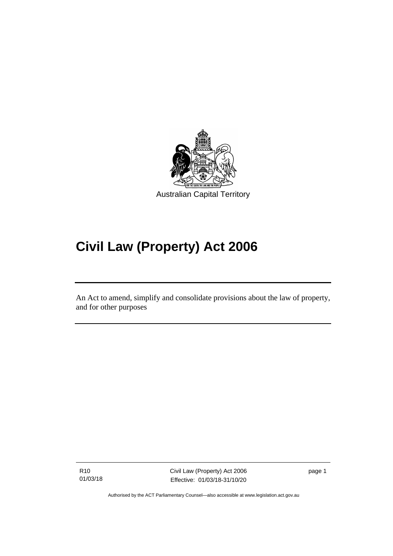

# **Civil Law (Property) Act 2006**

An Act to amend, simplify and consolidate provisions about the law of property, and for other purposes

R10 01/03/18

I

Civil Law (Property) Act 2006 Effective: 01/03/18-31/10/20

page 1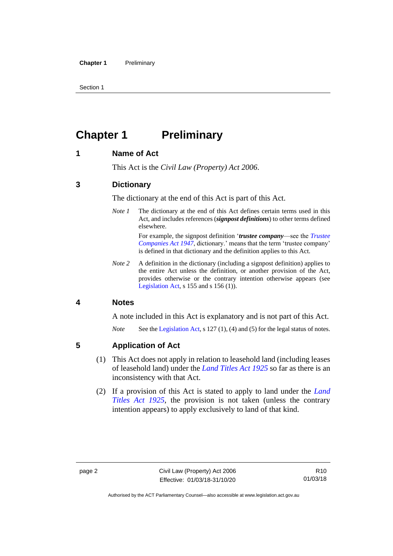Section 1

# <span id="page-11-0"></span>**Chapter 1 Preliminary**

#### <span id="page-11-1"></span>**1 Name of Act**

This Act is the *Civil Law (Property) Act 2006*.

#### <span id="page-11-2"></span>**3 Dictionary**

The dictionary at the end of this Act is part of this Act.

*Note 1* The dictionary at the end of this Act defines certain terms used in this Act, and includes references (*signpost definitions*) to other terms defined elsewhere.

> For example, the signpost definition '*trustee company*—see the *[Trustee](http://www.legislation.act.gov.au/a/1947-15)  [Companies Act 1947](http://www.legislation.act.gov.au/a/1947-15)*, dictionary.' means that the term 'trustee company' is defined in that dictionary and the definition applies to this Act.

*Note 2* A definition in the dictionary (including a signpost definition) applies to the entire Act unless the definition, or another provision of the Act, provides otherwise or the contrary intention otherwise appears (see [Legislation Act,](http://www.legislation.act.gov.au/a/2001-14) s  $155$  and s  $156$  (1)).

#### <span id="page-11-3"></span>**4 Notes**

A note included in this Act is explanatory and is not part of this Act.

*Note* See the [Legislation Act,](http://www.legislation.act.gov.au/a/2001-14) s 127 (1), (4) and (5) for the legal status of notes.

#### <span id="page-11-4"></span>**5 Application of Act**

- (1) This Act does not apply in relation to leasehold land (including leases of leasehold land) under the *[Land Titles Act](http://www.legislation.act.gov.au/a/1925-1) 1925* so far as there is an inconsistency with that Act.
- (2) If a provision of this Act is stated to apply to land under the *[Land](http://www.legislation.act.gov.au/a/1925-1)  [Titles Act 1925](http://www.legislation.act.gov.au/a/1925-1)*, the provision is not taken (unless the contrary intention appears) to apply exclusively to land of that kind.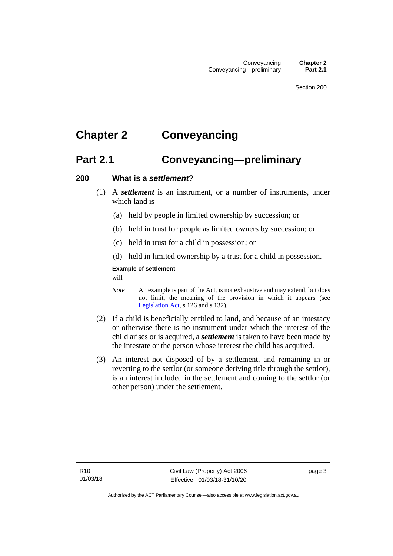# <span id="page-12-1"></span><span id="page-12-0"></span>**Chapter 2 Conveyancing**

## **Part 2.1 Conveyancing—preliminary**

#### <span id="page-12-2"></span>**200 What is a** *settlement***?**

- (1) A *settlement* is an instrument, or a number of instruments, under which land is—
	- (a) held by people in limited ownership by succession; or
	- (b) held in trust for people as limited owners by succession; or
	- (c) held in trust for a child in possession; or
	- (d) held in limited ownership by a trust for a child in possession.

#### **Example of settlement**

will

- *Note* An example is part of the Act, is not exhaustive and may extend, but does not limit, the meaning of the provision in which it appears (see [Legislation Act,](http://www.legislation.act.gov.au/a/2001-14) s 126 and s 132).
- (2) If a child is beneficially entitled to land, and because of an intestacy or otherwise there is no instrument under which the interest of the child arises or is acquired, a *settlement* is taken to have been made by the intestate or the person whose interest the child has acquired.
- (3) An interest not disposed of by a settlement, and remaining in or reverting to the settlor (or someone deriving title through the settlor), is an interest included in the settlement and coming to the settlor (or other person) under the settlement.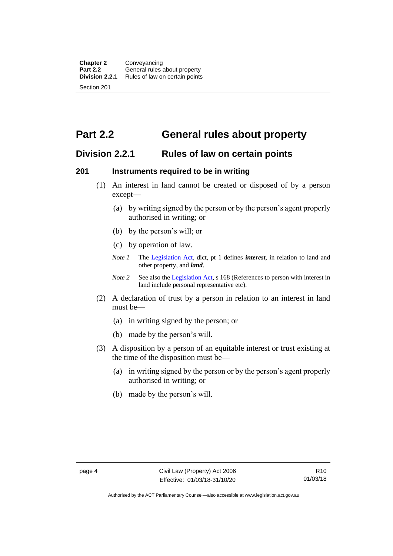# <span id="page-13-0"></span>**Part 2.2 General rules about property**

### <span id="page-13-1"></span>**Division 2.2.1 Rules of law on certain points**

#### <span id="page-13-2"></span>**201 Instruments required to be in writing**

- (1) An interest in land cannot be created or disposed of by a person except—
	- (a) by writing signed by the person or by the person's agent properly authorised in writing; or
	- (b) by the person's will; or
	- (c) by operation of law.
	- *Note 1* The [Legislation Act,](http://www.legislation.act.gov.au/a/2001-14) dict, pt 1 defines *interest*, in relation to land and other property, and *land*.
	- *Note 2* See also the [Legislation Act,](http://www.legislation.act.gov.au/a/2001-14) s 168 (References to person with interest in land include personal representative etc).
- (2) A declaration of trust by a person in relation to an interest in land must be—
	- (a) in writing signed by the person; or
	- (b) made by the person's will.
- (3) A disposition by a person of an equitable interest or trust existing at the time of the disposition must be—
	- (a) in writing signed by the person or by the person's agent properly authorised in writing; or
	- (b) made by the person's will.

Authorised by the ACT Parliamentary Counsel—also accessible at www.legislation.act.gov.au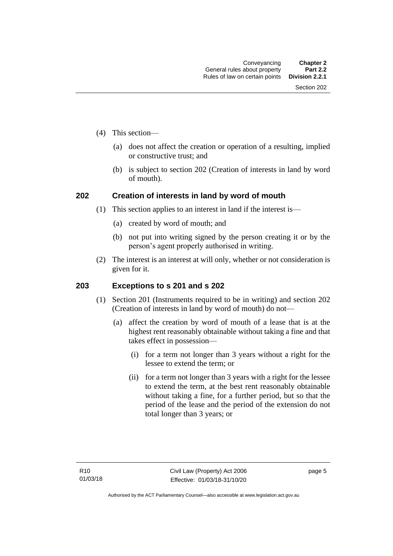- (4) This section—
	- (a) does not affect the creation or operation of a resulting, implied or constructive trust; and
	- (b) is subject to section 202 (Creation of interests in land by word of mouth).

#### <span id="page-14-0"></span>**202 Creation of interests in land by word of mouth**

- (1) This section applies to an interest in land if the interest is—
	- (a) created by word of mouth; and
	- (b) not put into writing signed by the person creating it or by the person's agent properly authorised in writing.
- (2) The interest is an interest at will only, whether or not consideration is given for it.

#### <span id="page-14-1"></span>**203 Exceptions to s 201 and s 202**

- (1) Section 201 (Instruments required to be in writing) and section 202 (Creation of interests in land by word of mouth) do not—
	- (a) affect the creation by word of mouth of a lease that is at the highest rent reasonably obtainable without taking a fine and that takes effect in possession—
		- (i) for a term not longer than 3 years without a right for the lessee to extend the term; or
		- (ii) for a term not longer than 3 years with a right for the lessee to extend the term, at the best rent reasonably obtainable without taking a fine, for a further period, but so that the period of the lease and the period of the extension do not total longer than 3 years; or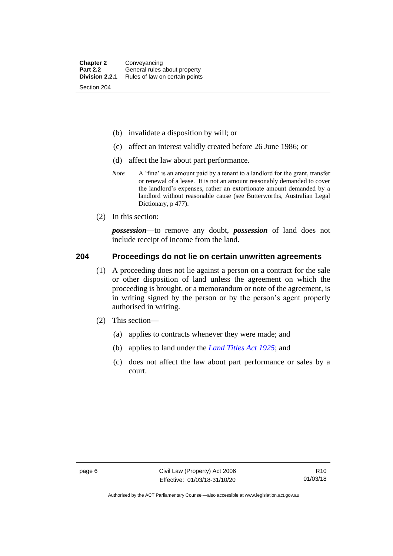- (b) invalidate a disposition by will; or
- (c) affect an interest validly created before 26 June 1986; or
- (d) affect the law about part performance.
- *Note* A 'fine' is an amount paid by a tenant to a landlord for the grant, transfer or renewal of a lease. It is not an amount reasonably demanded to cover the landlord's expenses, rather an extortionate amount demanded by a landlord without reasonable cause (see Butterworths, Australian Legal Dictionary, p 477).
- (2) In this section:

*possession*—to remove any doubt, *possession* of land does not include receipt of income from the land.

#### <span id="page-15-0"></span>**204 Proceedings do not lie on certain unwritten agreements**

- (1) A proceeding does not lie against a person on a contract for the sale or other disposition of land unless the agreement on which the proceeding is brought, or a memorandum or note of the agreement, is in writing signed by the person or by the person's agent properly authorised in writing.
- (2) This section—
	- (a) applies to contracts whenever they were made; and
	- (b) applies to land under the *[Land Titles Act 1925](http://www.legislation.act.gov.au/a/1925-1)*; and
	- (c) does not affect the law about part performance or sales by a court.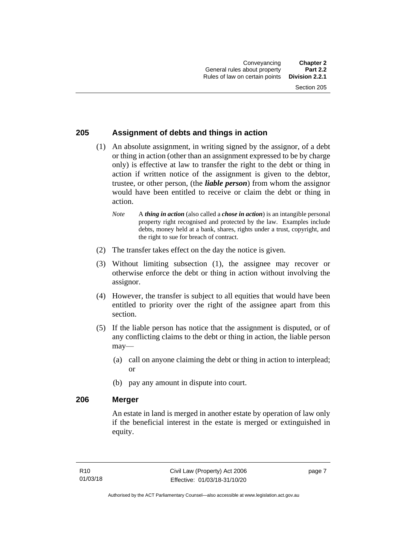#### <span id="page-16-0"></span>**205 Assignment of debts and things in action**

- (1) An absolute assignment, in writing signed by the assignor, of a debt or thing in action (other than an assignment expressed to be by charge only) is effective at law to transfer the right to the debt or thing in action if written notice of the assignment is given to the debtor, trustee, or other person, (the *liable person*) from whom the assignor would have been entitled to receive or claim the debt or thing in action.
	- *Note* A *thing in action* (also called a *chose in action*) is an intangible personal property right recognised and protected by the law. Examples include debts, money held at a bank, shares, rights under a trust, copyright, and the right to sue for breach of contract.
- (2) The transfer takes effect on the day the notice is given.
- (3) Without limiting subsection (1), the assignee may recover or otherwise enforce the debt or thing in action without involving the assignor.
- (4) However, the transfer is subject to all equities that would have been entitled to priority over the right of the assignee apart from this section.
- (5) If the liable person has notice that the assignment is disputed, or of any conflicting claims to the debt or thing in action, the liable person may—
	- (a) call on anyone claiming the debt or thing in action to interplead; or
	- (b) pay any amount in dispute into court.

#### <span id="page-16-1"></span>**206 Merger**

An estate in land is merged in another estate by operation of law only if the beneficial interest in the estate is merged or extinguished in equity.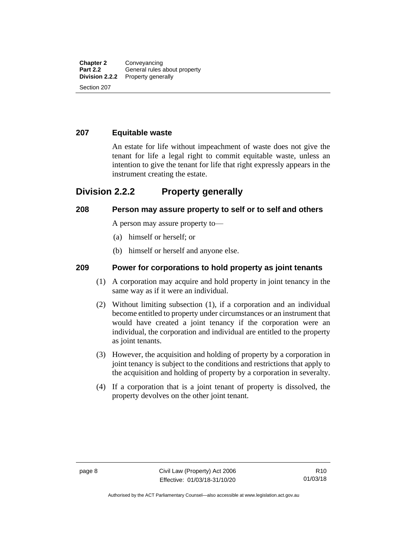#### <span id="page-17-0"></span>**207 Equitable waste**

An estate for life without impeachment of waste does not give the tenant for life a legal right to commit equitable waste, unless an intention to give the tenant for life that right expressly appears in the instrument creating the estate.

### <span id="page-17-1"></span>**Division 2.2.2 Property generally**

#### <span id="page-17-2"></span>**208 Person may assure property to self or to self and others**

A person may assure property to—

- (a) himself or herself; or
- (b) himself or herself and anyone else.

#### <span id="page-17-3"></span>**209 Power for corporations to hold property as joint tenants**

- (1) A corporation may acquire and hold property in joint tenancy in the same way as if it were an individual.
- (2) Without limiting subsection (1), if a corporation and an individual become entitled to property under circumstances or an instrument that would have created a joint tenancy if the corporation were an individual, the corporation and individual are entitled to the property as joint tenants.
- (3) However, the acquisition and holding of property by a corporation in joint tenancy is subject to the conditions and restrictions that apply to the acquisition and holding of property by a corporation in severalty.
- (4) If a corporation that is a joint tenant of property is dissolved, the property devolves on the other joint tenant.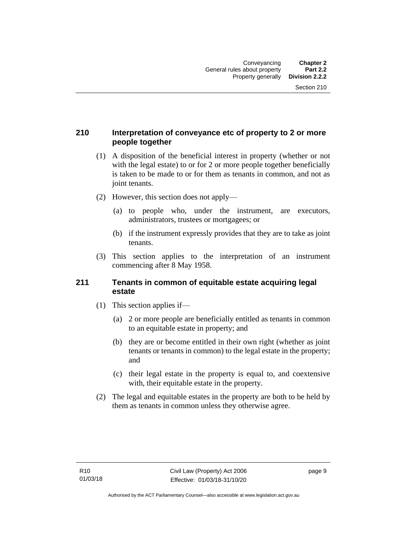#### <span id="page-18-0"></span>**210 Interpretation of conveyance etc of property to 2 or more people together**

- (1) A disposition of the beneficial interest in property (whether or not with the legal estate) to or for 2 or more people together beneficially is taken to be made to or for them as tenants in common, and not as joint tenants.
- (2) However, this section does not apply—
	- (a) to people who, under the instrument, are executors, administrators, trustees or mortgagees; or
	- (b) if the instrument expressly provides that they are to take as joint tenants.
- (3) This section applies to the interpretation of an instrument commencing after 8 May 1958.

#### <span id="page-18-1"></span>**211 Tenants in common of equitable estate acquiring legal estate**

- (1) This section applies if—
	- (a) 2 or more people are beneficially entitled as tenants in common to an equitable estate in property; and
	- (b) they are or become entitled in their own right (whether as joint tenants or tenants in common) to the legal estate in the property; and
	- (c) their legal estate in the property is equal to, and coextensive with, their equitable estate in the property.
- (2) The legal and equitable estates in the property are both to be held by them as tenants in common unless they otherwise agree.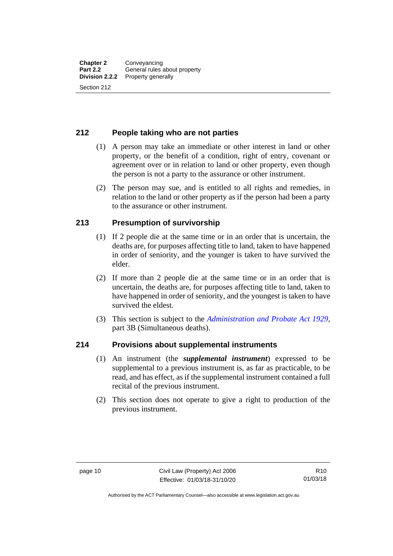#### <span id="page-19-0"></span>**212 People taking who are not parties**

- (1) A person may take an immediate or other interest in land or other property, or the benefit of a condition, right of entry, covenant or agreement over or in relation to land or other property, even though the person is not a party to the assurance or other instrument.
- (2) The person may sue, and is entitled to all rights and remedies, in relation to the land or other property as if the person had been a party to the assurance or other instrument.

#### <span id="page-19-1"></span>**213 Presumption of survivorship**

- (1) If 2 people die at the same time or in an order that is uncertain, the deaths are, for purposes affecting title to land, taken to have happened in order of seniority, and the younger is taken to have survived the elder.
- (2) If more than 2 people die at the same time or in an order that is uncertain, the deaths are, for purposes affecting title to land, taken to have happened in order of seniority, and the youngest is taken to have survived the eldest.
- (3) This section is subject to the *[Administration and Probate Act 1929](http://www.legislation.act.gov.au/a/1929-18)*, part 3B (Simultaneous deaths).

#### <span id="page-19-2"></span>**214 Provisions about supplemental instruments**

- (1) An instrument (the *supplemental instrument*) expressed to be supplemental to a previous instrument is, as far as practicable, to be read, and has effect, as if the supplemental instrument contained a full recital of the previous instrument.
- (2) This section does not operate to give a right to production of the previous instrument.

Authorised by the ACT Parliamentary Counsel—also accessible at www.legislation.act.gov.au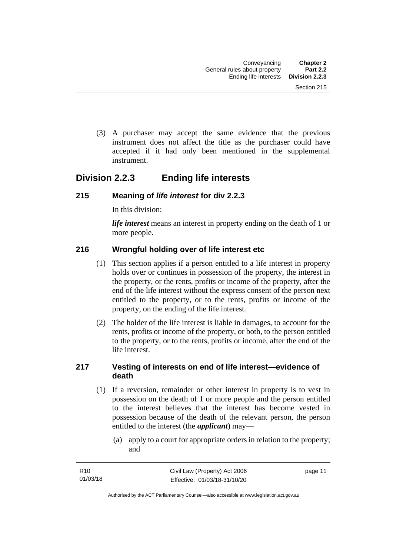(3) A purchaser may accept the same evidence that the previous instrument does not affect the title as the purchaser could have accepted if it had only been mentioned in the supplemental instrument.

### <span id="page-20-0"></span>**Division 2.2.3 Ending life interests**

#### <span id="page-20-1"></span>**215 Meaning of** *life interest* **for div 2.2.3**

In this division:

*life interest* means an interest in property ending on the death of 1 or more people.

#### <span id="page-20-2"></span>**216 Wrongful holding over of life interest etc**

- (1) This section applies if a person entitled to a life interest in property holds over or continues in possession of the property, the interest in the property, or the rents, profits or income of the property, after the end of the life interest without the express consent of the person next entitled to the property, or to the rents, profits or income of the property, on the ending of the life interest.
- (2) The holder of the life interest is liable in damages, to account for the rents, profits or income of the property, or both, to the person entitled to the property, or to the rents, profits or income, after the end of the life interest.

#### <span id="page-20-3"></span>**217 Vesting of interests on end of life interest—evidence of death**

- (1) If a reversion, remainder or other interest in property is to vest in possession on the death of 1 or more people and the person entitled to the interest believes that the interest has become vested in possession because of the death of the relevant person, the person entitled to the interest (the *applicant*) may—
	- (a) apply to a court for appropriate orders in relation to the property; and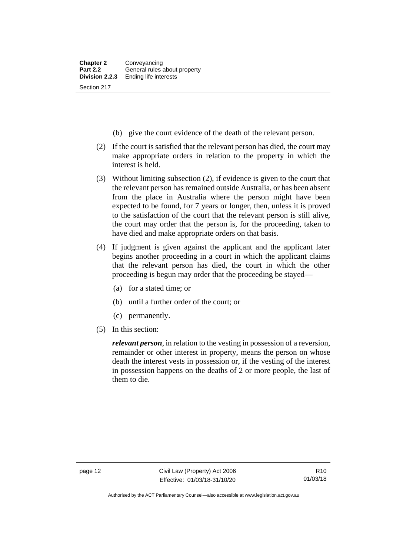- (b) give the court evidence of the death of the relevant person.
- (2) If the court is satisfied that the relevant person has died, the court may make appropriate orders in relation to the property in which the interest is held.
- (3) Without limiting subsection (2), if evidence is given to the court that the relevant person has remained outside Australia, or has been absent from the place in Australia where the person might have been expected to be found, for 7 years or longer, then, unless it is proved to the satisfaction of the court that the relevant person is still alive, the court may order that the person is, for the proceeding, taken to have died and make appropriate orders on that basis.
- (4) If judgment is given against the applicant and the applicant later begins another proceeding in a court in which the applicant claims that the relevant person has died, the court in which the other proceeding is begun may order that the proceeding be stayed—
	- (a) for a stated time; or
	- (b) until a further order of the court; or
	- (c) permanently.
- (5) In this section:

*relevant person*, in relation to the vesting in possession of a reversion, remainder or other interest in property, means the person on whose death the interest vests in possession or, if the vesting of the interest in possession happens on the deaths of 2 or more people, the last of them to die.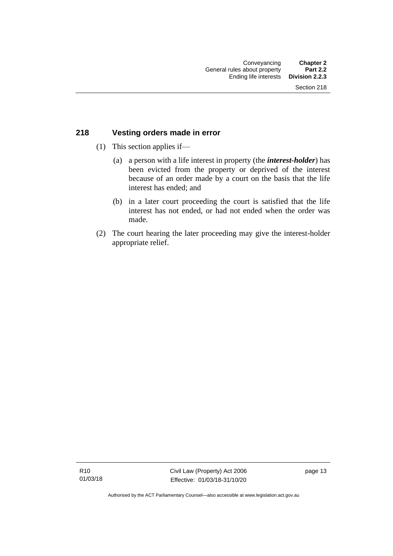#### <span id="page-22-0"></span>**218 Vesting orders made in error**

- (1) This section applies if—
	- (a) a person with a life interest in property (the *interest-holder*) has been evicted from the property or deprived of the interest because of an order made by a court on the basis that the life interest has ended; and
	- (b) in a later court proceeding the court is satisfied that the life interest has not ended, or had not ended when the order was made.
- (2) The court hearing the later proceeding may give the interest-holder appropriate relief.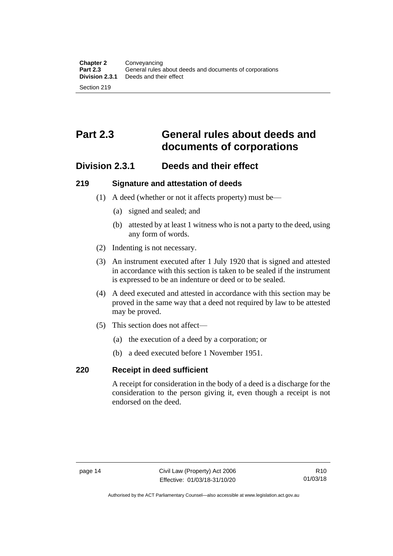# <span id="page-23-0"></span>**Part 2.3 General rules about deeds and documents of corporations**

### <span id="page-23-1"></span>**Division 2.3.1 Deeds and their effect**

#### <span id="page-23-2"></span>**219 Signature and attestation of deeds**

- (1) A deed (whether or not it affects property) must be—
	- (a) signed and sealed; and
	- (b) attested by at least 1 witness who is not a party to the deed, using any form of words.
- (2) Indenting is not necessary.
- (3) An instrument executed after 1 July 1920 that is signed and attested in accordance with this section is taken to be sealed if the instrument is expressed to be an indenture or deed or to be sealed.
- (4) A deed executed and attested in accordance with this section may be proved in the same way that a deed not required by law to be attested may be proved.
- (5) This section does not affect—
	- (a) the execution of a deed by a corporation; or
	- (b) a deed executed before 1 November 1951.

#### <span id="page-23-3"></span>**220 Receipt in deed sufficient**

A receipt for consideration in the body of a deed is a discharge for the consideration to the person giving it, even though a receipt is not endorsed on the deed.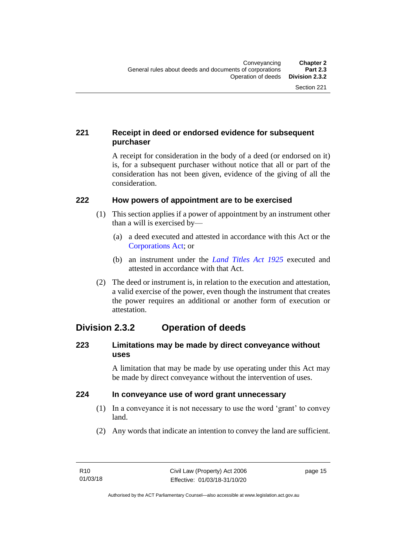### <span id="page-24-0"></span>**221 Receipt in deed or endorsed evidence for subsequent purchaser**

A receipt for consideration in the body of a deed (or endorsed on it) is, for a subsequent purchaser without notice that all or part of the consideration has not been given, evidence of the giving of all the consideration.

#### <span id="page-24-1"></span>**222 How powers of appointment are to be exercised**

- (1) This section applies if a power of appointment by an instrument other than a will is exercised by—
	- (a) a deed executed and attested in accordance with this Act or the [Corporations Act;](http://www.comlaw.gov.au/Series/C2004A00818) or
	- (b) an instrument under the *[Land Titles Act 1925](http://www.legislation.act.gov.au/a/1925-1)* executed and attested in accordance with that Act.
- (2) The deed or instrument is, in relation to the execution and attestation, a valid exercise of the power, even though the instrument that creates the power requires an additional or another form of execution or attestation.

### <span id="page-24-2"></span>**Division 2.3.2 Operation of deeds**

#### <span id="page-24-3"></span>**223 Limitations may be made by direct conveyance without uses**

A limitation that may be made by use operating under this Act may be made by direct conveyance without the intervention of uses.

#### <span id="page-24-4"></span>**224 In conveyance use of word grant unnecessary**

- (1) In a conveyance it is not necessary to use the word 'grant' to convey land.
- (2) Any words that indicate an intention to convey the land are sufficient.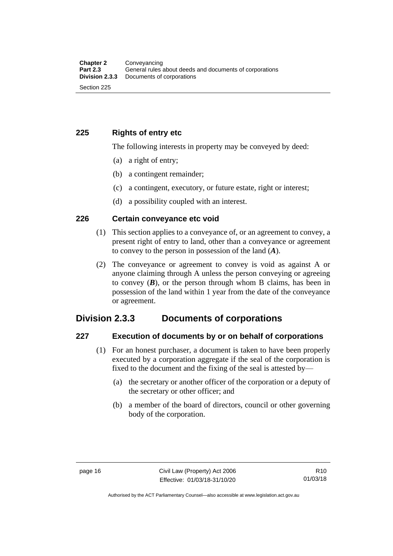#### <span id="page-25-0"></span>**225 Rights of entry etc**

The following interests in property may be conveyed by deed:

- (a) a right of entry;
- (b) a contingent remainder;
- (c) a contingent, executory, or future estate, right or interest;
- (d) a possibility coupled with an interest.

#### <span id="page-25-1"></span>**226 Certain conveyance etc void**

- (1) This section applies to a conveyance of, or an agreement to convey, a present right of entry to land, other than a conveyance or agreement to convey to the person in possession of the land (*A*).
- (2) The conveyance or agreement to convey is void as against A or anyone claiming through A unless the person conveying or agreeing to convey  $(B)$ , or the person through whom B claims, has been in possession of the land within 1 year from the date of the conveyance or agreement.

### <span id="page-25-2"></span>**Division 2.3.3 Documents of corporations**

#### <span id="page-25-3"></span>**227 Execution of documents by or on behalf of corporations**

- (1) For an honest purchaser, a document is taken to have been properly executed by a corporation aggregate if the seal of the corporation is fixed to the document and the fixing of the seal is attested by—
	- (a) the secretary or another officer of the corporation or a deputy of the secretary or other officer; and
	- (b) a member of the board of directors, council or other governing body of the corporation.

Authorised by the ACT Parliamentary Counsel—also accessible at www.legislation.act.gov.au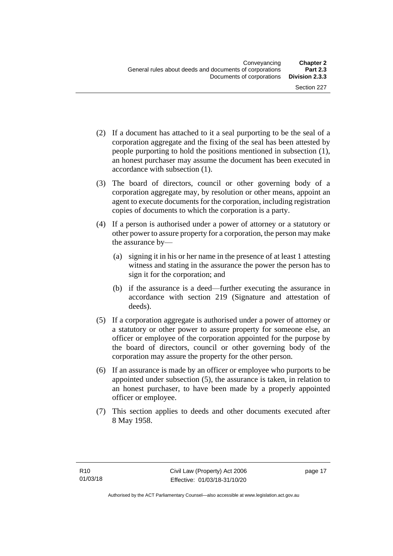- (2) If a document has attached to it a seal purporting to be the seal of a corporation aggregate and the fixing of the seal has been attested by people purporting to hold the positions mentioned in subsection (1), an honest purchaser may assume the document has been executed in accordance with subsection (1).
- (3) The board of directors, council or other governing body of a corporation aggregate may, by resolution or other means, appoint an agent to execute documents for the corporation, including registration copies of documents to which the corporation is a party.
- (4) If a person is authorised under a power of attorney or a statutory or other power to assure property for a corporation, the person may make the assurance by—
	- (a) signing it in his or her name in the presence of at least 1 attesting witness and stating in the assurance the power the person has to sign it for the corporation; and
	- (b) if the assurance is a deed—further executing the assurance in accordance with section 219 (Signature and attestation of deeds).
- (5) If a corporation aggregate is authorised under a power of attorney or a statutory or other power to assure property for someone else, an officer or employee of the corporation appointed for the purpose by the board of directors, council or other governing body of the corporation may assure the property for the other person.
- (6) If an assurance is made by an officer or employee who purports to be appointed under subsection (5), the assurance is taken, in relation to an honest purchaser, to have been made by a properly appointed officer or employee.
- (7) This section applies to deeds and other documents executed after 8 May 1958.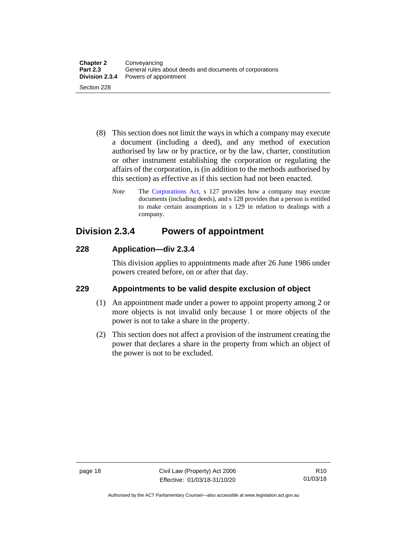- (8) This section does not limit the ways in which a company may execute a document (including a deed), and any method of execution authorised by law or by practice, or by the law, charter, constitution or other instrument establishing the corporation or regulating the affairs of the corporation, is (in addition to the methods authorised by this section) as effective as if this section had not been enacted.
	- *Note* The [Corporations Act,](http://www.comlaw.gov.au/Series/C2004A00818) s 127 provides how a company may execute documents (including deeds), and s 128 provides that a person is entitled to make certain assumptions in s 129 in relation to dealings with a company.

### <span id="page-27-0"></span>**Division 2.3.4 Powers of appointment**

#### <span id="page-27-1"></span>**228 Application—div 2.3.4**

This division applies to appointments made after 26 June 1986 under powers created before, on or after that day.

### <span id="page-27-2"></span>**229 Appointments to be valid despite exclusion of object**

- (1) An appointment made under a power to appoint property among 2 or more objects is not invalid only because 1 or more objects of the power is not to take a share in the property.
- (2) This section does not affect a provision of the instrument creating the power that declares a share in the property from which an object of the power is not to be excluded.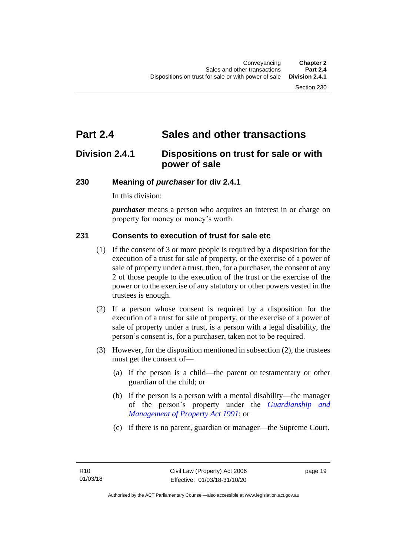# <span id="page-28-0"></span>**Part 2.4 Sales and other transactions**

### <span id="page-28-1"></span>**Division 2.4.1 Dispositions on trust for sale or with power of sale**

#### <span id="page-28-2"></span>**230 Meaning of** *purchaser* **for div 2.4.1**

In this division:

*purchaser* means a person who acquires an interest in or charge on property for money or money's worth.

#### <span id="page-28-3"></span>**231 Consents to execution of trust for sale etc**

- (1) If the consent of 3 or more people is required by a disposition for the execution of a trust for sale of property, or the exercise of a power of sale of property under a trust, then, for a purchaser, the consent of any 2 of those people to the execution of the trust or the exercise of the power or to the exercise of any statutory or other powers vested in the trustees is enough.
- (2) If a person whose consent is required by a disposition for the execution of a trust for sale of property, or the exercise of a power of sale of property under a trust, is a person with a legal disability, the person's consent is, for a purchaser, taken not to be required.
- (3) However, for the disposition mentioned in subsection (2), the trustees must get the consent of—
	- (a) if the person is a child—the parent or testamentary or other guardian of the child; or
	- (b) if the person is a person with a mental disability—the manager of the person's property under the *[Guardianship and](http://www.legislation.act.gov.au/a/1991-62)  [Management of Property Act 1991](http://www.legislation.act.gov.au/a/1991-62)*; or
	- (c) if there is no parent, guardian or manager—the Supreme Court.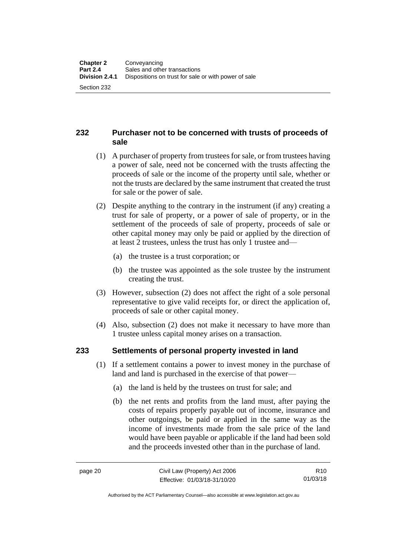#### <span id="page-29-0"></span>**232 Purchaser not to be concerned with trusts of proceeds of sale**

- (1) A purchaser of property from trustees for sale, or from trustees having a power of sale, need not be concerned with the trusts affecting the proceeds of sale or the income of the property until sale, whether or not the trusts are declared by the same instrument that created the trust for sale or the power of sale.
- (2) Despite anything to the contrary in the instrument (if any) creating a trust for sale of property, or a power of sale of property, or in the settlement of the proceeds of sale of property, proceeds of sale or other capital money may only be paid or applied by the direction of at least 2 trustees, unless the trust has only 1 trustee and—
	- (a) the trustee is a trust corporation; or
	- (b) the trustee was appointed as the sole trustee by the instrument creating the trust.
- (3) However, subsection (2) does not affect the right of a sole personal representative to give valid receipts for, or direct the application of, proceeds of sale or other capital money.
- (4) Also, subsection (2) does not make it necessary to have more than 1 trustee unless capital money arises on a transaction.

#### <span id="page-29-1"></span>**233 Settlements of personal property invested in land**

- (1) If a settlement contains a power to invest money in the purchase of land and land is purchased in the exercise of that power—
	- (a) the land is held by the trustees on trust for sale; and
	- (b) the net rents and profits from the land must, after paying the costs of repairs properly payable out of income, insurance and other outgoings, be paid or applied in the same way as the income of investments made from the sale price of the land would have been payable or applicable if the land had been sold and the proceeds invested other than in the purchase of land.

R10 01/03/18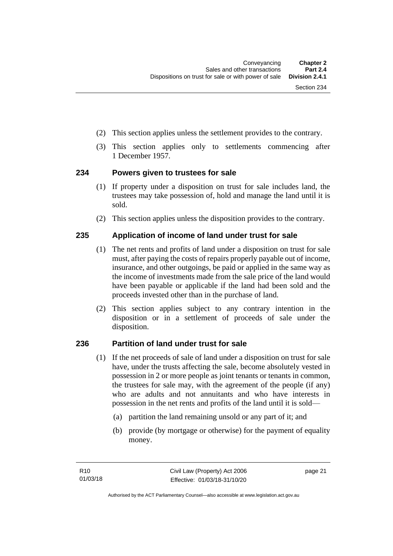- (2) This section applies unless the settlement provides to the contrary.
- (3) This section applies only to settlements commencing after 1 December 1957.

#### <span id="page-30-0"></span>**234 Powers given to trustees for sale**

- (1) If property under a disposition on trust for sale includes land, the trustees may take possession of, hold and manage the land until it is sold.
- (2) This section applies unless the disposition provides to the contrary.

#### <span id="page-30-1"></span>**235 Application of income of land under trust for sale**

- (1) The net rents and profits of land under a disposition on trust for sale must, after paying the costs of repairs properly payable out of income, insurance, and other outgoings, be paid or applied in the same way as the income of investments made from the sale price of the land would have been payable or applicable if the land had been sold and the proceeds invested other than in the purchase of land.
- (2) This section applies subject to any contrary intention in the disposition or in a settlement of proceeds of sale under the disposition.

### <span id="page-30-2"></span>**236 Partition of land under trust for sale**

- (1) If the net proceeds of sale of land under a disposition on trust for sale have, under the trusts affecting the sale, become absolutely vested in possession in 2 or more people as joint tenants or tenants in common, the trustees for sale may, with the agreement of the people (if any) who are adults and not annuitants and who have interests in possession in the net rents and profits of the land until it is sold—
	- (a) partition the land remaining unsold or any part of it; and
	- (b) provide (by mortgage or otherwise) for the payment of equality money.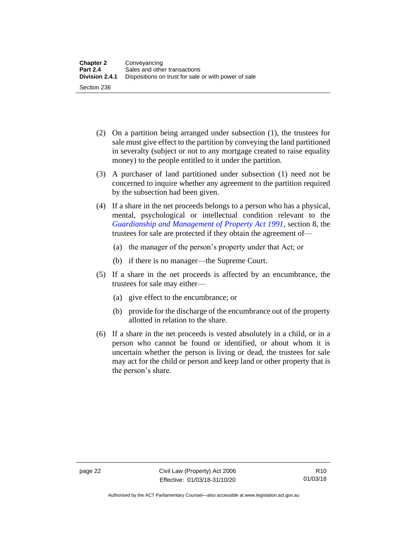- (2) On a partition being arranged under subsection (1), the trustees for sale must give effect to the partition by conveying the land partitioned in severalty (subject or not to any mortgage created to raise equality money) to the people entitled to it under the partition.
- (3) A purchaser of land partitioned under subsection (1) need not be concerned to inquire whether any agreement to the partition required by the subsection had been given.
- (4) If a share in the net proceeds belongs to a person who has a physical, mental, psychological or intellectual condition relevant to the *[Guardianship and Management of Property Act 1991](http://www.legislation.act.gov.au/a/1991-62)*, section 8, the trustees for sale are protected if they obtain the agreement of—
	- (a) the manager of the person's property under that Act; or
	- (b) if there is no manager—the Supreme Court.
- (5) If a share in the net proceeds is affected by an encumbrance, the trustees for sale may either—
	- (a) give effect to the encumbrance; or
	- (b) provide for the discharge of the encumbrance out of the property allotted in relation to the share.
- (6) If a share in the net proceeds is vested absolutely in a child, or in a person who cannot be found or identified, or about whom it is uncertain whether the person is living or dead, the trustees for sale may act for the child or person and keep land or other property that is the person's share.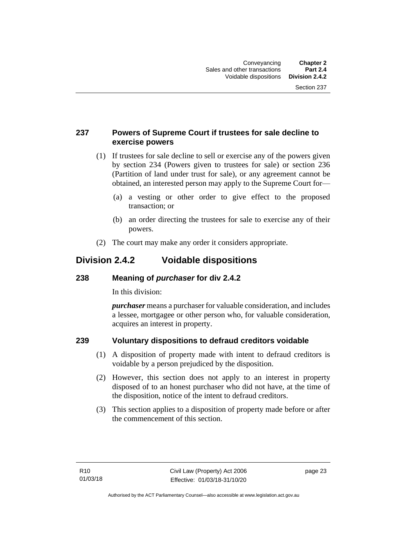#### <span id="page-32-0"></span>**237 Powers of Supreme Court if trustees for sale decline to exercise powers**

- (1) If trustees for sale decline to sell or exercise any of the powers given by section 234 (Powers given to trustees for sale) or section 236 (Partition of land under trust for sale), or any agreement cannot be obtained, an interested person may apply to the Supreme Court for—
	- (a) a vesting or other order to give effect to the proposed transaction; or
	- (b) an order directing the trustees for sale to exercise any of their powers.
- (2) The court may make any order it considers appropriate.

### <span id="page-32-1"></span>**Division 2.4.2 Voidable dispositions**

#### <span id="page-32-2"></span>**238 Meaning of** *purchaser* **for div 2.4.2**

In this division:

*purchaser* means a purchaser for valuable consideration, and includes a lessee, mortgagee or other person who, for valuable consideration, acquires an interest in property.

### <span id="page-32-3"></span>**239 Voluntary dispositions to defraud creditors voidable**

- (1) A disposition of property made with intent to defraud creditors is voidable by a person prejudiced by the disposition.
- (2) However, this section does not apply to an interest in property disposed of to an honest purchaser who did not have, at the time of the disposition, notice of the intent to defraud creditors.
- (3) This section applies to a disposition of property made before or after the commencement of this section.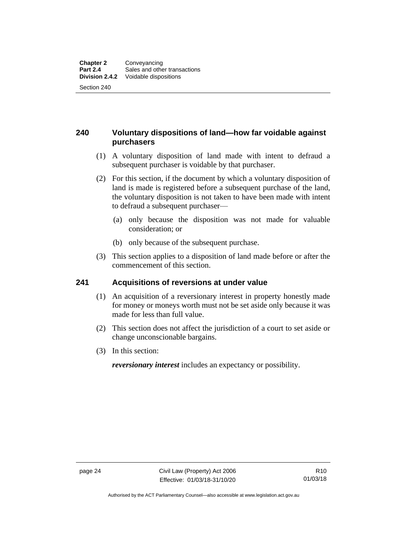#### <span id="page-33-0"></span>**240 Voluntary dispositions of land—how far voidable against purchasers**

- (1) A voluntary disposition of land made with intent to defraud a subsequent purchaser is voidable by that purchaser.
- (2) For this section, if the document by which a voluntary disposition of land is made is registered before a subsequent purchase of the land, the voluntary disposition is not taken to have been made with intent to defraud a subsequent purchaser—
	- (a) only because the disposition was not made for valuable consideration; or
	- (b) only because of the subsequent purchase.
- (3) This section applies to a disposition of land made before or after the commencement of this section.

#### <span id="page-33-1"></span>**241 Acquisitions of reversions at under value**

- (1) An acquisition of a reversionary interest in property honestly made for money or moneys worth must not be set aside only because it was made for less than full value.
- (2) This section does not affect the jurisdiction of a court to set aside or change unconscionable bargains.
- (3) In this section:

*reversionary interest* includes an expectancy or possibility.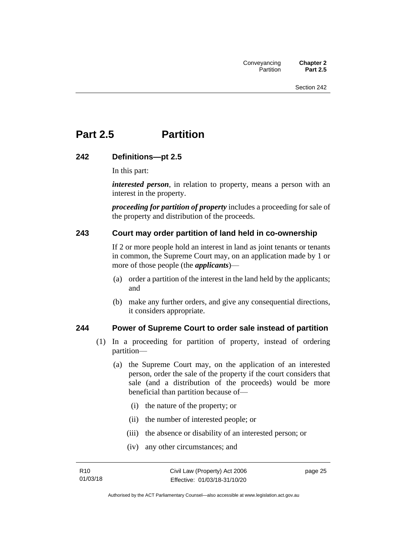# <span id="page-34-0"></span>**Part 2.5 Partition**

#### <span id="page-34-1"></span>**242 Definitions—pt 2.5**

In this part:

*interested person*, in relation to property, means a person with an interest in the property.

*proceeding for partition of property* includes a proceeding for sale of the property and distribution of the proceeds.

#### <span id="page-34-2"></span>**243 Court may order partition of land held in co-ownership**

If 2 or more people hold an interest in land as joint tenants or tenants in common, the Supreme Court may, on an application made by 1 or more of those people (the *applicants*)—

- (a) order a partition of the interest in the land held by the applicants; and
- (b) make any further orders, and give any consequential directions, it considers appropriate.

#### <span id="page-34-3"></span>**244 Power of Supreme Court to order sale instead of partition**

- (1) In a proceeding for partition of property, instead of ordering partition—
	- (a) the Supreme Court may, on the application of an interested person, order the sale of the property if the court considers that sale (and a distribution of the proceeds) would be more beneficial than partition because of—
		- (i) the nature of the property; or
		- (ii) the number of interested people; or
		- (iii) the absence or disability of an interested person; or
		- (iv) any other circumstances; and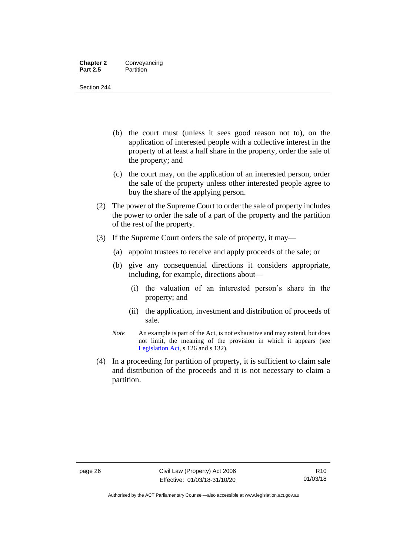#### **Chapter 2** Conveyancing<br>**Part 2.5** Partition **Partition**

Section 244

- (b) the court must (unless it sees good reason not to), on the application of interested people with a collective interest in the property of at least a half share in the property, order the sale of the property; and
- (c) the court may, on the application of an interested person, order the sale of the property unless other interested people agree to buy the share of the applying person.
- (2) The power of the Supreme Court to order the sale of property includes the power to order the sale of a part of the property and the partition of the rest of the property.
- (3) If the Supreme Court orders the sale of property, it may—
	- (a) appoint trustees to receive and apply proceeds of the sale; or
	- (b) give any consequential directions it considers appropriate, including, for example, directions about—
		- (i) the valuation of an interested person's share in the property; and
		- (ii) the application, investment and distribution of proceeds of sale.
	- *Note* An example is part of the Act, is not exhaustive and may extend, but does not limit, the meaning of the provision in which it appears (see [Legislation Act,](http://www.legislation.act.gov.au/a/2001-14) s 126 and s 132).
- (4) In a proceeding for partition of property, it is sufficient to claim sale and distribution of the proceeds and it is not necessary to claim a partition.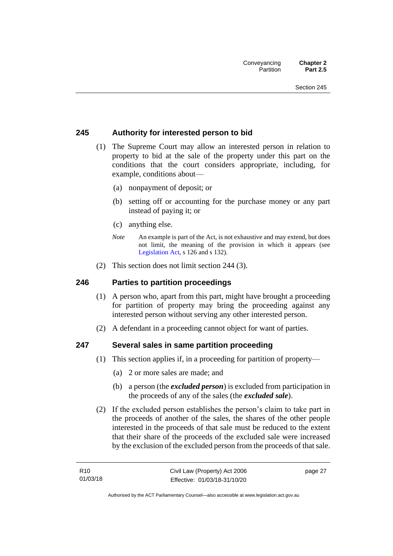#### **245 Authority for interested person to bid**

- (1) The Supreme Court may allow an interested person in relation to property to bid at the sale of the property under this part on the conditions that the court considers appropriate, including, for example, conditions about—
	- (a) nonpayment of deposit; or
	- (b) setting off or accounting for the purchase money or any part instead of paying it; or
	- (c) anything else.
	- *Note* An example is part of the Act, is not exhaustive and may extend, but does not limit, the meaning of the provision in which it appears (see [Legislation Act,](http://www.legislation.act.gov.au/a/2001-14) s 126 and s 132).
- (2) This section does not limit section 244 (3).

#### **246 Parties to partition proceedings**

- (1) A person who, apart from this part, might have brought a proceeding for partition of property may bring the proceeding against any interested person without serving any other interested person.
- (2) A defendant in a proceeding cannot object for want of parties.

#### **247 Several sales in same partition proceeding**

- (1) This section applies if, in a proceeding for partition of property—
	- (a) 2 or more sales are made; and
	- (b) a person (the *excluded person*) is excluded from participation in the proceeds of any of the sales (the *excluded sale*).
- (2) If the excluded person establishes the person's claim to take part in the proceeds of another of the sales, the shares of the other people interested in the proceeds of that sale must be reduced to the extent that their share of the proceeds of the excluded sale were increased by the exclusion of the excluded person from the proceeds of that sale.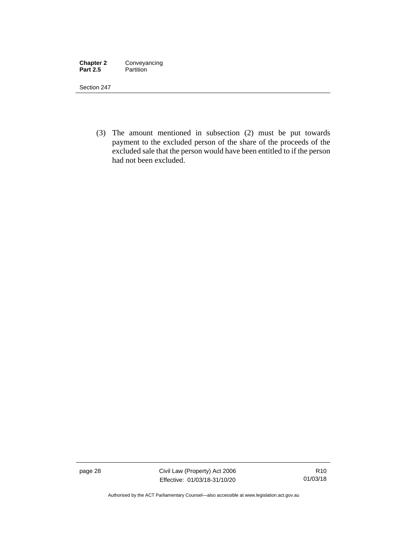| <b>Chapter 2</b> | Conveyancing |
|------------------|--------------|
| <b>Part 2.5</b>  | Partition    |

(3) The amount mentioned in subsection (2) must be put towards payment to the excluded person of the share of the proceeds of the excluded sale that the person would have been entitled to if the person had not been excluded.

page 28 Civil Law (Property) Act 2006 Effective: 01/03/18-31/10/20

Authorised by the ACT Parliamentary Counsel—also accessible at www.legislation.act.gov.au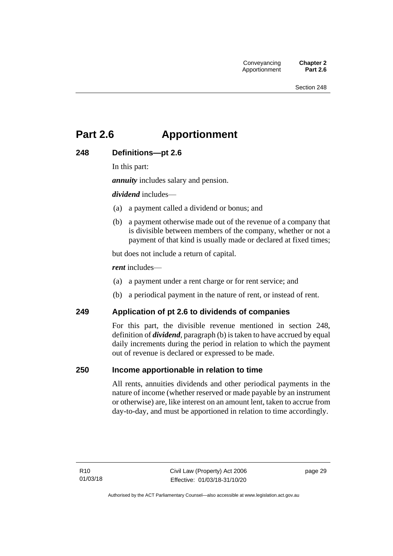# **Part 2.6 Apportionment**

### **248 Definitions—pt 2.6**

In this part:

*annuity* includes salary and pension.

*dividend* includes—

- (a) a payment called a dividend or bonus; and
- (b) a payment otherwise made out of the revenue of a company that is divisible between members of the company, whether or not a payment of that kind is usually made or declared at fixed times;

but does not include a return of capital.

*rent* includes—

- (a) a payment under a rent charge or for rent service; and
- (b) a periodical payment in the nature of rent, or instead of rent.

#### **249 Application of pt 2.6 to dividends of companies**

For this part, the divisible revenue mentioned in section 248, definition of *dividend*, paragraph (b) is taken to have accrued by equal daily increments during the period in relation to which the payment out of revenue is declared or expressed to be made.

#### **250 Income apportionable in relation to time**

All rents, annuities dividends and other periodical payments in the nature of income (whether reserved or made payable by an instrument or otherwise) are, like interest on an amount lent, taken to accrue from day-to-day, and must be apportioned in relation to time accordingly.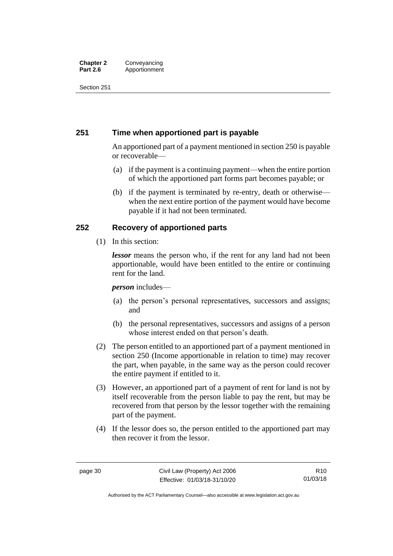#### **Chapter 2** Conveyancing<br>**Part 2.6** Apportionment Apportionment

Section 251

#### **251 Time when apportioned part is payable**

An apportioned part of a payment mentioned in section 250 is payable or recoverable—

- (a) if the payment is a continuing payment—when the entire portion of which the apportioned part forms part becomes payable; or
- (b) if the payment is terminated by re-entry, death or otherwise when the next entire portion of the payment would have become payable if it had not been terminated.

### **252 Recovery of apportioned parts**

(1) In this section:

*lessor* means the person who, if the rent for any land had not been apportionable, would have been entitled to the entire or continuing rent for the land.

#### *person* includes—

- (a) the person's personal representatives, successors and assigns; and
- (b) the personal representatives, successors and assigns of a person whose interest ended on that person's death.
- (2) The person entitled to an apportioned part of a payment mentioned in section 250 (Income apportionable in relation to time) may recover the part, when payable, in the same way as the person could recover the entire payment if entitled to it.
- (3) However, an apportioned part of a payment of rent for land is not by itself recoverable from the person liable to pay the rent, but may be recovered from that person by the lessor together with the remaining part of the payment.
- (4) If the lessor does so, the person entitled to the apportioned part may then recover it from the lessor.

Authorised by the ACT Parliamentary Counsel—also accessible at www.legislation.act.gov.au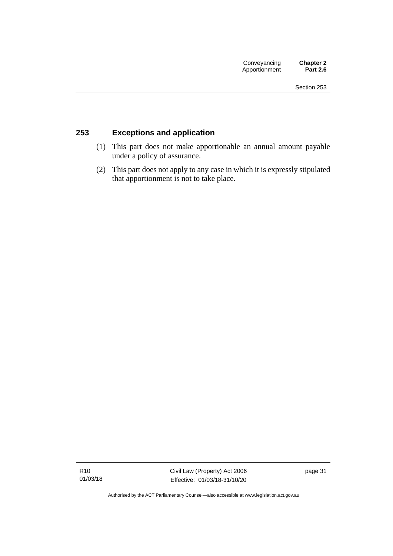### **253 Exceptions and application**

- (1) This part does not make apportionable an annual amount payable under a policy of assurance.
- (2) This part does not apply to any case in which it is expressly stipulated that apportionment is not to take place.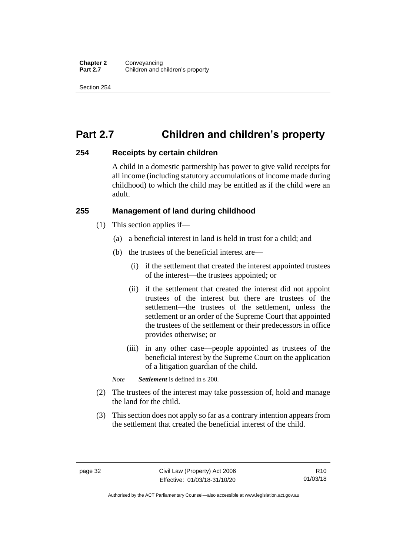# **Part 2.7 Children and children's property**

#### **254 Receipts by certain children**

A child in a domestic partnership has power to give valid receipts for all income (including statutory accumulations of income made during childhood) to which the child may be entitled as if the child were an adult.

#### **255 Management of land during childhood**

- (1) This section applies if—
	- (a) a beneficial interest in land is held in trust for a child; and
	- (b) the trustees of the beneficial interest are—
		- (i) if the settlement that created the interest appointed trustees of the interest—the trustees appointed; or
		- (ii) if the settlement that created the interest did not appoint trustees of the interest but there are trustees of the settlement—the trustees of the settlement, unless the settlement or an order of the Supreme Court that appointed the trustees of the settlement or their predecessors in office provides otherwise; or
		- (iii) in any other case—people appointed as trustees of the beneficial interest by the Supreme Court on the application of a litigation guardian of the child.

*Note Settlement* is defined in s 200.

- (2) The trustees of the interest may take possession of, hold and manage the land for the child.
- (3) This section does not apply so far as a contrary intention appears from the settlement that created the beneficial interest of the child.

Authorised by the ACT Parliamentary Counsel—also accessible at www.legislation.act.gov.au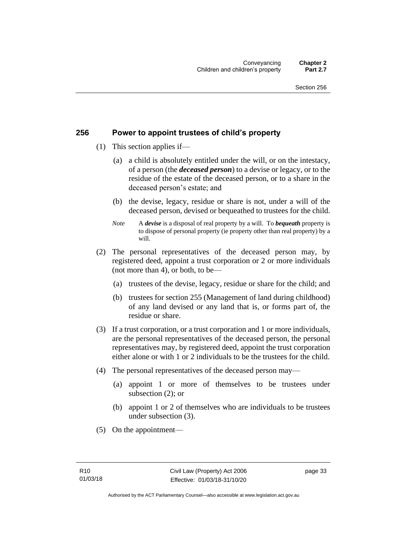#### **256 Power to appoint trustees of child's property**

- (1) This section applies if—
	- (a) a child is absolutely entitled under the will, or on the intestacy, of a person (the *deceased person*) to a devise or legacy, or to the residue of the estate of the deceased person, or to a share in the deceased person's estate; and
	- (b) the devise, legacy, residue or share is not, under a will of the deceased person, devised or bequeathed to trustees for the child.
	- *Note* A *devise* is a disposal of real property by a will. To *bequeath* property is to dispose of personal property (ie property other than real property) by a will.
- (2) The personal representatives of the deceased person may, by registered deed, appoint a trust corporation or 2 or more individuals (not more than 4), or both, to be—
	- (a) trustees of the devise, legacy, residue or share for the child; and
	- (b) trustees for section 255 (Management of land during childhood) of any land devised or any land that is, or forms part of, the residue or share.
- (3) If a trust corporation, or a trust corporation and 1 or more individuals, are the personal representatives of the deceased person, the personal representatives may, by registered deed, appoint the trust corporation either alone or with 1 or 2 individuals to be the trustees for the child.
- (4) The personal representatives of the deceased person may—
	- (a) appoint 1 or more of themselves to be trustees under subsection (2); or
	- (b) appoint 1 or 2 of themselves who are individuals to be trustees under subsection (3).
- (5) On the appointment—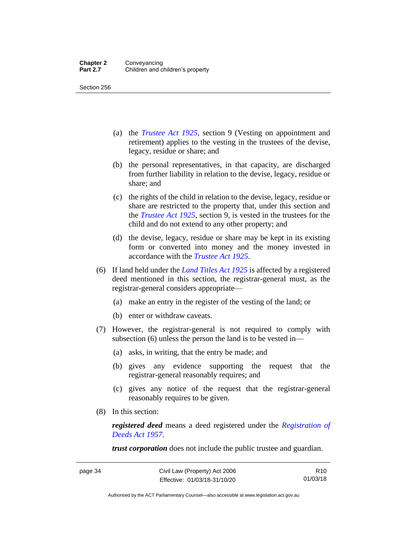- (a) the *[Trustee Act 1925](http://www.legislation.act.gov.au/a/1925-14)*, section 9 (Vesting on appointment and retirement) applies to the vesting in the trustees of the devise, legacy, residue or share; and
- (b) the personal representatives, in that capacity, are discharged from further liability in relation to the devise, legacy, residue or share; and
- (c) the rights of the child in relation to the devise, legacy, residue or share are restricted to the property that, under this section and the *[Trustee Act 1925](http://www.legislation.act.gov.au/a/1925-14)*, section 9, is vested in the trustees for the child and do not extend to any other property; and
- (d) the devise, legacy, residue or share may be kept in its existing form or converted into money and the money invested in accordance with the *[Trustee Act 1925](http://www.legislation.act.gov.au/a/1925-14)*.
- (6) If land held under the *[Land Titles Act 1925](http://www.legislation.act.gov.au/a/1925-1)* is affected by a registered deed mentioned in this section, the registrar-general must, as the registrar-general considers appropriate—
	- (a) make an entry in the register of the vesting of the land; or
	- (b) enter or withdraw caveats.
- (7) However, the registrar-general is not required to comply with subsection (6) unless the person the land is to be vested in—
	- (a) asks, in writing, that the entry be made; and
	- (b) gives any evidence supporting the request that the registrar-general reasonably requires; and
	- (c) gives any notice of the request that the registrar-general reasonably requires to be given.
- (8) In this section:

*registered deed* means a deed registered under the *[Registration of](http://www.legislation.act.gov.au/a/1957-13)  [Deeds Act 1957](http://www.legislation.act.gov.au/a/1957-13)*.

*trust corporation* does not include the public trustee and guardian.

R10 01/03/18

Authorised by the ACT Parliamentary Counsel—also accessible at www.legislation.act.gov.au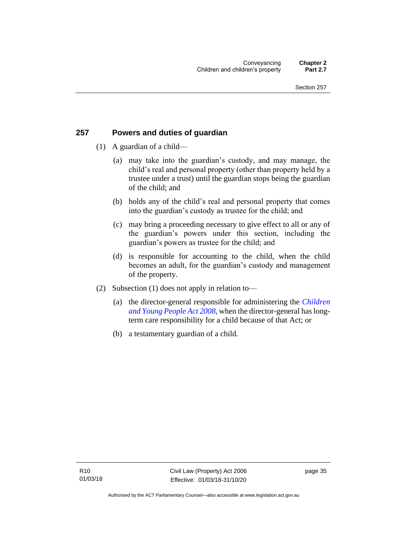### **257 Powers and duties of guardian**

- (1) A guardian of a child—
	- (a) may take into the guardian's custody, and may manage, the child's real and personal property (other than property held by a trustee under a trust) until the guardian stops being the guardian of the child; and
	- (b) holds any of the child's real and personal property that comes into the guardian's custody as trustee for the child; and
	- (c) may bring a proceeding necessary to give effect to all or any of the guardian's powers under this section, including the guardian's powers as trustee for the child; and
	- (d) is responsible for accounting to the child, when the child becomes an adult, for the guardian's custody and management of the property.
- (2) Subsection (1) does not apply in relation to—
	- (a) the director-general responsible for administering the *[Children](http://www.legislation.act.gov.au/a/2008-19)  [and Young People Act 2008](http://www.legislation.act.gov.au/a/2008-19)*, when the director-general has longterm care responsibility for a child because of that Act; or
	- (b) a testamentary guardian of a child.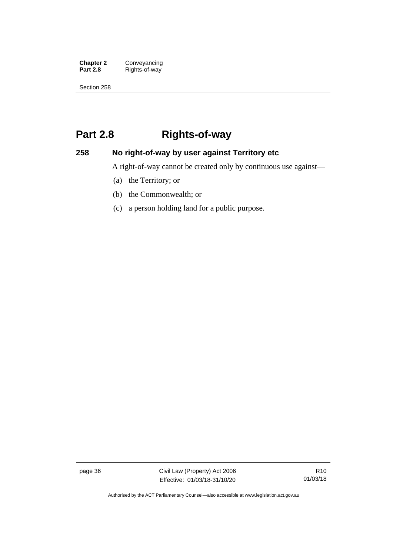**Chapter 2** Conveyancing<br>**Part 2.8** Rights-of-way **Part 2.8** Rights-of-way

Section 258

# **Part 2.8 Rights-of-way**

### **258 No right-of-way by user against Territory etc**

A right-of-way cannot be created only by continuous use against—

- (a) the Territory; or
- (b) the Commonwealth; or
- (c) a person holding land for a public purpose.

page 36 Civil Law (Property) Act 2006 Effective: 01/03/18-31/10/20

R10 01/03/18

Authorised by the ACT Parliamentary Counsel—also accessible at www.legislation.act.gov.au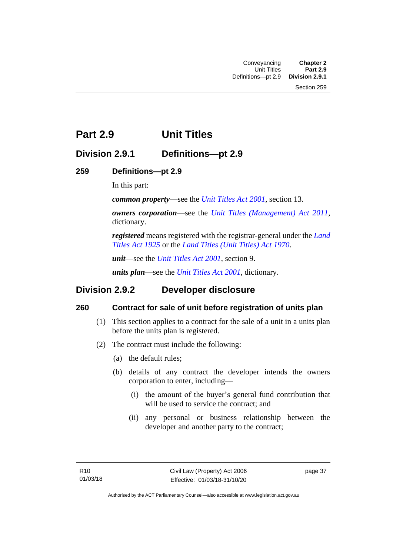# **Part 2.9 Unit Titles**

### **Division 2.9.1 Definitions—pt 2.9**

### **259 Definitions—pt 2.9**

In this part:

*common property*—see the *[Unit Titles Act 2001](http://www.legislation.act.gov.au/a/2001-16)*, section 13.

*owners corporation*—see the *[Unit Titles \(Management\) Act 2011](http://www.legislation.act.gov.au/a/2011-41)*, dictionary.

*registered* means registered with the registrar-general under the *[Land](http://www.legislation.act.gov.au/a/1925-1)  [Titles Act 1925](http://www.legislation.act.gov.au/a/1925-1)* or the *[Land Titles \(Unit Titles\) Act 1970](http://www.legislation.act.gov.au/a/1970-32)*.

*unit*—see the *[Unit Titles Act 2001](http://www.legislation.act.gov.au/a/2001-16)*, section 9.

*units plan*—see the *[Unit Titles Act 2001](http://www.legislation.act.gov.au/a/2001-16)*, dictionary.

### **Division 2.9.2 Developer disclosure**

### **260 Contract for sale of unit before registration of units plan**

- (1) This section applies to a contract for the sale of a unit in a units plan before the units plan is registered.
- (2) The contract must include the following:
	- (a) the default rules;
	- (b) details of any contract the developer intends the owners corporation to enter, including—
		- (i) the amount of the buyer's general fund contribution that will be used to service the contract; and
		- (ii) any personal or business relationship between the developer and another party to the contract;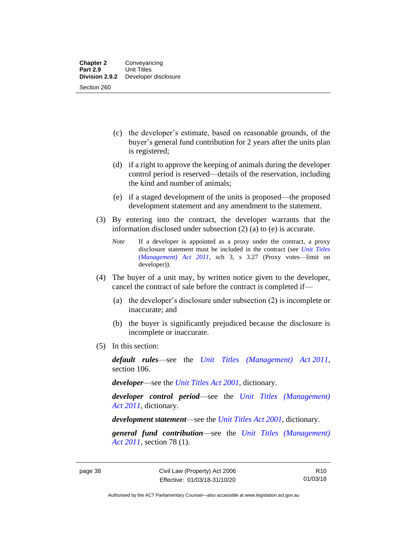- (c) the developer's estimate, based on reasonable grounds, of the buyer's general fund contribution for 2 years after the units plan is registered;
- (d) if a right to approve the keeping of animals during the developer control period is reserved—details of the reservation, including the kind and number of animals;
- (e) if a staged development of the units is proposed—the proposed development statement and any amendment to the statement.
- (3) By entering into the contract, the developer warrants that the information disclosed under subsection (2) (a) to (e) is accurate.
	- *Note* If a developer is appointed as a proxy under the contract, a proxy disclosure statement must be included in the contract (see *[Unit Titles](http://www.legislation.act.gov.au/a/2011-41)  [\(Management\) Act 2011](http://www.legislation.act.gov.au/a/2011-41)*, sch 3, s 3.27 (Proxy votes—limit on developer)).
- (4) The buyer of a unit may, by written notice given to the developer, cancel the contract of sale before the contract is completed if—
	- (a) the developer's disclosure under subsection (2) is incomplete or inaccurate; and
	- (b) the buyer is significantly prejudiced because the disclosure is incomplete or inaccurate.
- (5) In this section:

*default rules*—see the *[Unit Titles \(Management\) Act](http://www.legislation.act.gov.au/a/2011-41) 2011*, section 106.

*developer*—see the *[Unit Titles Act 2001](http://www.legislation.act.gov.au/a/2001-16)*, dictionary.

*developer control period*—see the *[Unit Titles \(Management\)](http://www.legislation.act.gov.au/a/2011-41)  Act [2011](http://www.legislation.act.gov.au/a/2011-41)*, dictionary.

*development statement*—see the *[Unit Titles Act 2001](http://www.legislation.act.gov.au/a/2001-16)*, dictionary.

*general fund contribution*—see the *[Unit Titles \(Management\)](http://www.legislation.act.gov.au/a/2011-41)  Act [2011](http://www.legislation.act.gov.au/a/2011-41)*, section 78 (1).

R10 01/03/18

Authorised by the ACT Parliamentary Counsel—also accessible at www.legislation.act.gov.au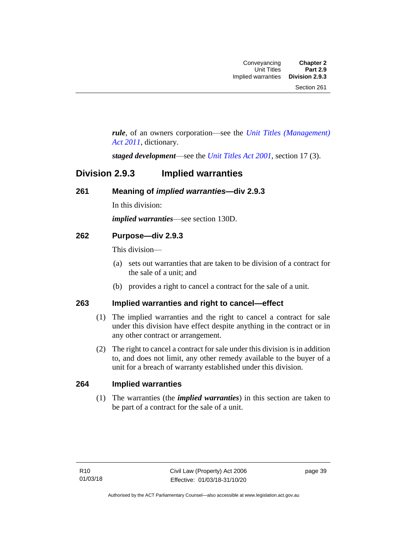*rule*, of an owners corporation—see the *[Unit Titles \(Management\)](http://www.legislation.act.gov.au/a/2011-41)  [Act 2011](http://www.legislation.act.gov.au/a/2011-41)*, dictionary.

*staged development*—see the *[Unit Titles Act 2001](http://www.legislation.act.gov.au/a/2001-16)*, section 17 (3).

### **Division 2.9.3 Implied warranties**

#### **261 Meaning of** *implied warranties***—div 2.9.3**

In this division:

*implied warranties*—see section 130D.

#### **262 Purpose—div 2.9.3**

This division—

- (a) sets out warranties that are taken to be division of a contract for the sale of a unit; and
- (b) provides a right to cancel a contract for the sale of a unit.

#### **263 Implied warranties and right to cancel—effect**

- (1) The implied warranties and the right to cancel a contract for sale under this division have effect despite anything in the contract or in any other contract or arrangement.
- (2) The right to cancel a contract for sale under this division is in addition to, and does not limit, any other remedy available to the buyer of a unit for a breach of warranty established under this division.

#### **264 Implied warranties**

(1) The warranties (the *implied warranties*) in this section are taken to be part of a contract for the sale of a unit.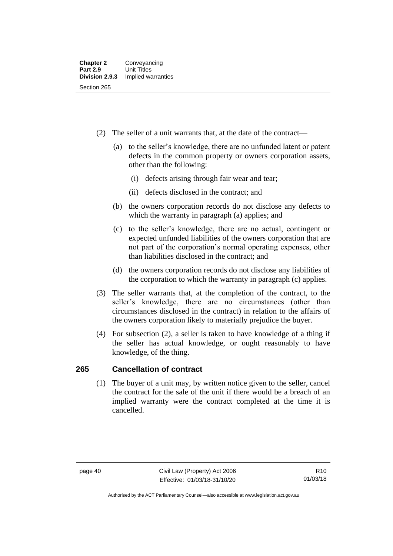- (2) The seller of a unit warrants that, at the date of the contract—
	- (a) to the seller's knowledge, there are no unfunded latent or patent defects in the common property or owners corporation assets, other than the following:
		- (i) defects arising through fair wear and tear;
		- (ii) defects disclosed in the contract; and
	- (b) the owners corporation records do not disclose any defects to which the warranty in paragraph (a) applies; and
	- (c) to the seller's knowledge, there are no actual, contingent or expected unfunded liabilities of the owners corporation that are not part of the corporation's normal operating expenses, other than liabilities disclosed in the contract; and
	- (d) the owners corporation records do not disclose any liabilities of the corporation to which the warranty in paragraph (c) applies.
- (3) The seller warrants that, at the completion of the contract, to the seller's knowledge, there are no circumstances (other than circumstances disclosed in the contract) in relation to the affairs of the owners corporation likely to materially prejudice the buyer.
- (4) For subsection (2), a seller is taken to have knowledge of a thing if the seller has actual knowledge, or ought reasonably to have knowledge, of the thing.

### **265 Cancellation of contract**

(1) The buyer of a unit may, by written notice given to the seller, cancel the contract for the sale of the unit if there would be a breach of an implied warranty were the contract completed at the time it is cancelled.

Authorised by the ACT Parliamentary Counsel—also accessible at www.legislation.act.gov.au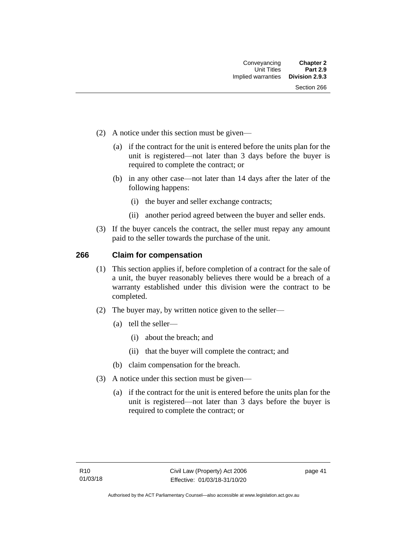- (2) A notice under this section must be given—
	- (a) if the contract for the unit is entered before the units plan for the unit is registered—not later than 3 days before the buyer is required to complete the contract; or
	- (b) in any other case—not later than 14 days after the later of the following happens:
		- (i) the buyer and seller exchange contracts;
		- (ii) another period agreed between the buyer and seller ends.
- (3) If the buyer cancels the contract, the seller must repay any amount paid to the seller towards the purchase of the unit.

#### **266 Claim for compensation**

- (1) This section applies if, before completion of a contract for the sale of a unit, the buyer reasonably believes there would be a breach of a warranty established under this division were the contract to be completed.
- (2) The buyer may, by written notice given to the seller—
	- (a) tell the seller—
		- (i) about the breach; and
		- (ii) that the buyer will complete the contract; and
	- (b) claim compensation for the breach.
- (3) A notice under this section must be given—
	- (a) if the contract for the unit is entered before the units plan for the unit is registered—not later than 3 days before the buyer is required to complete the contract; or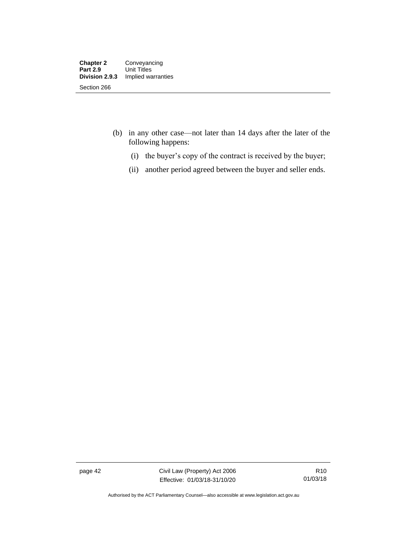- (b) in any other case—not later than 14 days after the later of the following happens:
	- (i) the buyer's copy of the contract is received by the buyer;
	- (ii) another period agreed between the buyer and seller ends.

page 42 Civil Law (Property) Act 2006 Effective: 01/03/18-31/10/20

Authorised by the ACT Parliamentary Counsel—also accessible at www.legislation.act.gov.au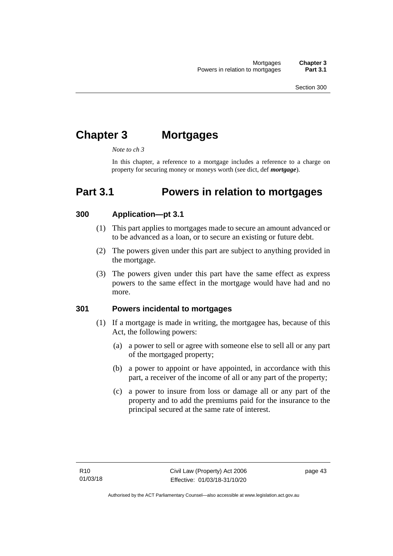# **Chapter 3 Mortgages**

*Note to ch 3*

In this chapter, a reference to a mortgage includes a reference to a charge on property for securing money or moneys worth (see dict, def *mortgage*).

### **Part 3.1 Powers in relation to mortgages**

#### **300 Application—pt 3.1**

- (1) This part applies to mortgages made to secure an amount advanced or to be advanced as a loan, or to secure an existing or future debt.
- (2) The powers given under this part are subject to anything provided in the mortgage.
- (3) The powers given under this part have the same effect as express powers to the same effect in the mortgage would have had and no more.

#### **301 Powers incidental to mortgages**

- (1) If a mortgage is made in writing, the mortgagee has, because of this Act, the following powers:
	- (a) a power to sell or agree with someone else to sell all or any part of the mortgaged property;
	- (b) a power to appoint or have appointed, in accordance with this part, a receiver of the income of all or any part of the property;
	- (c) a power to insure from loss or damage all or any part of the property and to add the premiums paid for the insurance to the principal secured at the same rate of interest.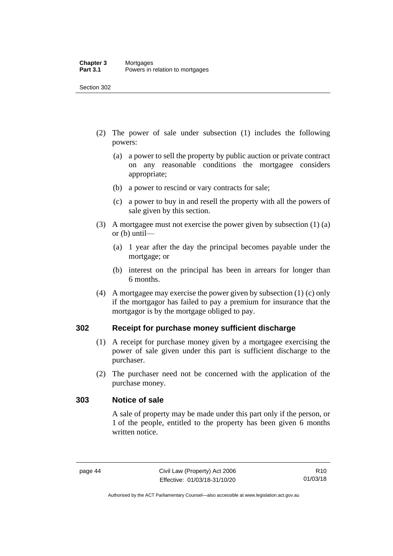- (2) The power of sale under subsection (1) includes the following powers:
	- (a) a power to sell the property by public auction or private contract on any reasonable conditions the mortgagee considers appropriate;
	- (b) a power to rescind or vary contracts for sale;
	- (c) a power to buy in and resell the property with all the powers of sale given by this section.
- (3) A mortgagee must not exercise the power given by subsection (1) (a) or (b) until—
	- (a) 1 year after the day the principal becomes payable under the mortgage; or
	- (b) interest on the principal has been in arrears for longer than 6 months.
- (4) A mortgagee may exercise the power given by subsection (1) (c) only if the mortgagor has failed to pay a premium for insurance that the mortgagor is by the mortgage obliged to pay.

### **302 Receipt for purchase money sufficient discharge**

- (1) A receipt for purchase money given by a mortgagee exercising the power of sale given under this part is sufficient discharge to the purchaser.
- (2) The purchaser need not be concerned with the application of the purchase money.

#### **303 Notice of sale**

A sale of property may be made under this part only if the person, or 1 of the people, entitled to the property has been given 6 months written notice.

Authorised by the ACT Parliamentary Counsel—also accessible at www.legislation.act.gov.au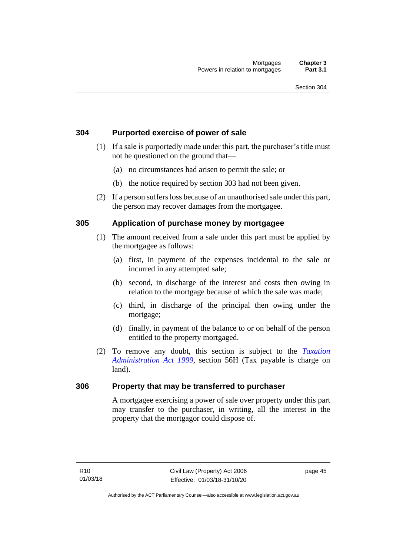#### **304 Purported exercise of power of sale**

- (1) If a sale is purportedly made under this part, the purchaser's title must not be questioned on the ground that—
	- (a) no circumstances had arisen to permit the sale; or
	- (b) the notice required by section 303 had not been given.
- (2) If a person suffers loss because of an unauthorised sale under this part, the person may recover damages from the mortgagee.

#### **305 Application of purchase money by mortgagee**

- (1) The amount received from a sale under this part must be applied by the mortgagee as follows:
	- (a) first, in payment of the expenses incidental to the sale or incurred in any attempted sale;
	- (b) second, in discharge of the interest and costs then owing in relation to the mortgage because of which the sale was made;
	- (c) third, in discharge of the principal then owing under the mortgage;
	- (d) finally, in payment of the balance to or on behalf of the person entitled to the property mortgaged.
- (2) To remove any doubt, this section is subject to the *[Taxation](http://www.legislation.act.gov.au/a/1999-4)  [Administration Act 1999](http://www.legislation.act.gov.au/a/1999-4)*, section 56H (Tax payable is charge on land).

#### **306 Property that may be transferred to purchaser**

A mortgagee exercising a power of sale over property under this part may transfer to the purchaser, in writing, all the interest in the property that the mortgagor could dispose of.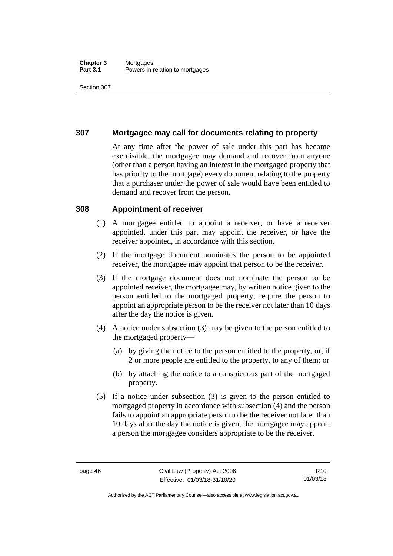#### **Chapter 3** Mortgages **Part 3.1** Powers in relation to mortgages

Section 307

#### **307 Mortgagee may call for documents relating to property**

At any time after the power of sale under this part has become exercisable, the mortgagee may demand and recover from anyone (other than a person having an interest in the mortgaged property that has priority to the mortgage) every document relating to the property that a purchaser under the power of sale would have been entitled to demand and recover from the person.

#### **308 Appointment of receiver**

- (1) A mortgagee entitled to appoint a receiver, or have a receiver appointed, under this part may appoint the receiver, or have the receiver appointed, in accordance with this section.
- (2) If the mortgage document nominates the person to be appointed receiver, the mortgagee may appoint that person to be the receiver.
- (3) If the mortgage document does not nominate the person to be appointed receiver, the mortgagee may, by written notice given to the person entitled to the mortgaged property, require the person to appoint an appropriate person to be the receiver not later than 10 days after the day the notice is given.
- (4) A notice under subsection (3) may be given to the person entitled to the mortgaged property—
	- (a) by giving the notice to the person entitled to the property, or, if 2 or more people are entitled to the property, to any of them; or
	- (b) by attaching the notice to a conspicuous part of the mortgaged property.
- (5) If a notice under subsection (3) is given to the person entitled to mortgaged property in accordance with subsection (4) and the person fails to appoint an appropriate person to be the receiver not later than 10 days after the day the notice is given, the mortgagee may appoint a person the mortgagee considers appropriate to be the receiver.

Authorised by the ACT Parliamentary Counsel—also accessible at www.legislation.act.gov.au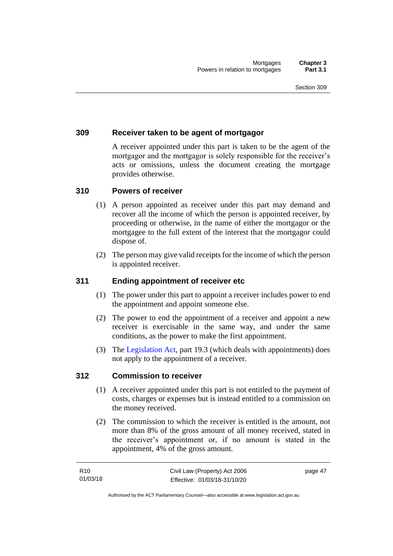#### **309 Receiver taken to be agent of mortgagor**

A receiver appointed under this part is taken to be the agent of the mortgagor and the mortgagor is solely responsible for the receiver's acts or omissions, unless the document creating the mortgage provides otherwise.

#### **310 Powers of receiver**

- (1) A person appointed as receiver under this part may demand and recover all the income of which the person is appointed receiver, by proceeding or otherwise, in the name of either the mortgagor or the mortgagee to the full extent of the interest that the mortgagor could dispose of.
- (2) The person may give valid receipts for the income of which the person is appointed receiver.

#### **311 Ending appointment of receiver etc**

- (1) The power under this part to appoint a receiver includes power to end the appointment and appoint someone else.
- (2) The power to end the appointment of a receiver and appoint a new receiver is exercisable in the same way, and under the same conditions, as the power to make the first appointment.
- (3) The [Legislation Act,](http://www.legislation.act.gov.au/a/2001-14) part 19.3 (which deals with appointments) does not apply to the appointment of a receiver.

#### **312 Commission to receiver**

- (1) A receiver appointed under this part is not entitled to the payment of costs, charges or expenses but is instead entitled to a commission on the money received.
- (2) The commission to which the receiver is entitled is the amount, not more than 8% of the gross amount of all money received, stated in the receiver's appointment or, if no amount is stated in the appointment, 4% of the gross amount.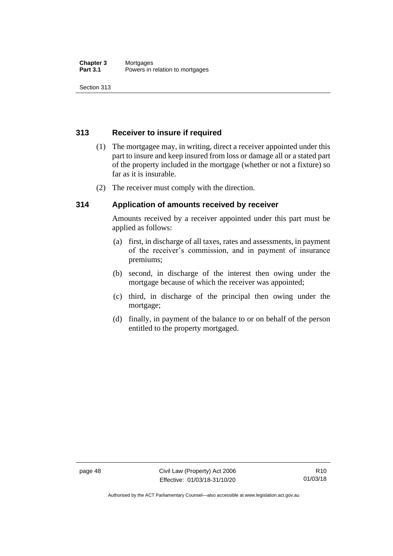### **313 Receiver to insure if required**

- (1) The mortgagee may, in writing, direct a receiver appointed under this part to insure and keep insured from loss or damage all or a stated part of the property included in the mortgage (whether or not a fixture) so far as it is insurable.
- (2) The receiver must comply with the direction.

### **314 Application of amounts received by receiver**

Amounts received by a receiver appointed under this part must be applied as follows:

- (a) first, in discharge of all taxes, rates and assessments, in payment of the receiver's commission, and in payment of insurance premiums;
- (b) second, in discharge of the interest then owing under the mortgage because of which the receiver was appointed;
- (c) third, in discharge of the principal then owing under the mortgage;
- (d) finally, in payment of the balance to or on behalf of the person entitled to the property mortgaged.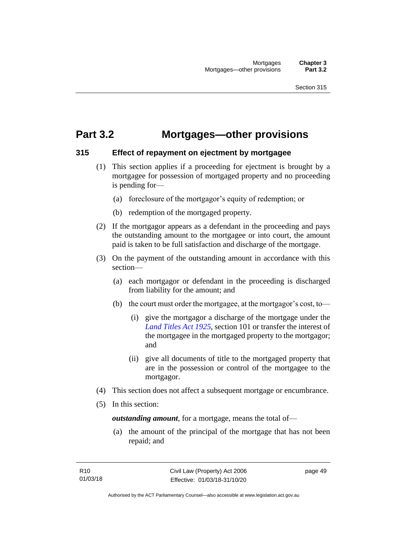## **Part 3.2 Mortgages—other provisions**

#### **315 Effect of repayment on ejectment by mortgagee**

- (1) This section applies if a proceeding for ejectment is brought by a mortgagee for possession of mortgaged property and no proceeding is pending for—
	- (a) foreclosure of the mortgagor's equity of redemption; or
	- (b) redemption of the mortgaged property.
- (2) If the mortgagor appears as a defendant in the proceeding and pays the outstanding amount to the mortgagee or into court, the amount paid is taken to be full satisfaction and discharge of the mortgage.
- (3) On the payment of the outstanding amount in accordance with this section—
	- (a) each mortgagor or defendant in the proceeding is discharged from liability for the amount; and
	- (b) the court must order the mortgagee, at the mortgagor's cost, to—
		- (i) give the mortgagor a discharge of the mortgage under the *[Land Titles Act 1925](http://www.legislation.act.gov.au/a/1925-1)*, section 101 or transfer the interest of the mortgagee in the mortgaged property to the mortgagor; and
		- (ii) give all documents of title to the mortgaged property that are in the possession or control of the mortgagee to the mortgagor.
- (4) This section does not affect a subsequent mortgage or encumbrance.
- (5) In this section:

*outstanding amount*, for a mortgage, means the total of—

(a) the amount of the principal of the mortgage that has not been repaid; and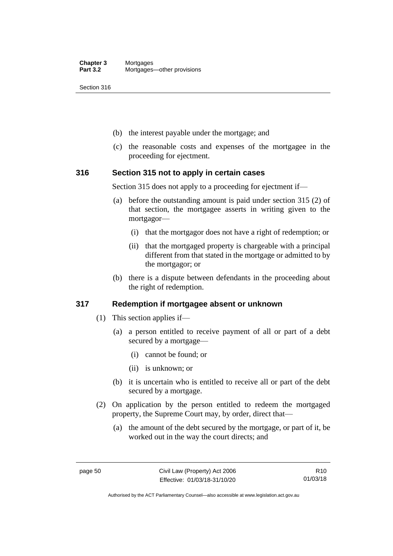- (b) the interest payable under the mortgage; and
- (c) the reasonable costs and expenses of the mortgagee in the proceeding for ejectment.

#### **316 Section 315 not to apply in certain cases**

Section 315 does not apply to a proceeding for ejectment if—

- (a) before the outstanding amount is paid under section 315 (2) of that section, the mortgagee asserts in writing given to the mortgagor—
	- (i) that the mortgagor does not have a right of redemption; or
	- (ii) that the mortgaged property is chargeable with a principal different from that stated in the mortgage or admitted to by the mortgagor; or
- (b) there is a dispute between defendants in the proceeding about the right of redemption.

### **317 Redemption if mortgagee absent or unknown**

- (1) This section applies if—
	- (a) a person entitled to receive payment of all or part of a debt secured by a mortgage—
		- (i) cannot be found; or
		- (ii) is unknown; or
	- (b) it is uncertain who is entitled to receive all or part of the debt secured by a mortgage.
- (2) On application by the person entitled to redeem the mortgaged property, the Supreme Court may, by order, direct that—
	- (a) the amount of the debt secured by the mortgage, or part of it, be worked out in the way the court directs; and

Authorised by the ACT Parliamentary Counsel—also accessible at www.legislation.act.gov.au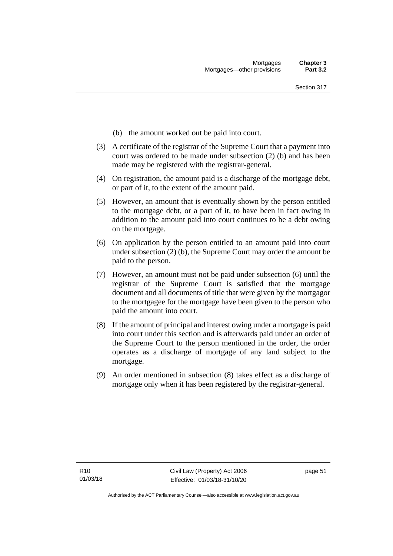- (b) the amount worked out be paid into court.
- (3) A certificate of the registrar of the Supreme Court that a payment into court was ordered to be made under subsection (2) (b) and has been made may be registered with the registrar-general.
- (4) On registration, the amount paid is a discharge of the mortgage debt, or part of it, to the extent of the amount paid.
- (5) However, an amount that is eventually shown by the person entitled to the mortgage debt, or a part of it, to have been in fact owing in addition to the amount paid into court continues to be a debt owing on the mortgage.
- (6) On application by the person entitled to an amount paid into court under subsection (2) (b), the Supreme Court may order the amount be paid to the person.
- (7) However, an amount must not be paid under subsection (6) until the registrar of the Supreme Court is satisfied that the mortgage document and all documents of title that were given by the mortgagor to the mortgagee for the mortgage have been given to the person who paid the amount into court.
- (8) If the amount of principal and interest owing under a mortgage is paid into court under this section and is afterwards paid under an order of the Supreme Court to the person mentioned in the order, the order operates as a discharge of mortgage of any land subject to the mortgage.
- (9) An order mentioned in subsection (8) takes effect as a discharge of mortgage only when it has been registered by the registrar-general.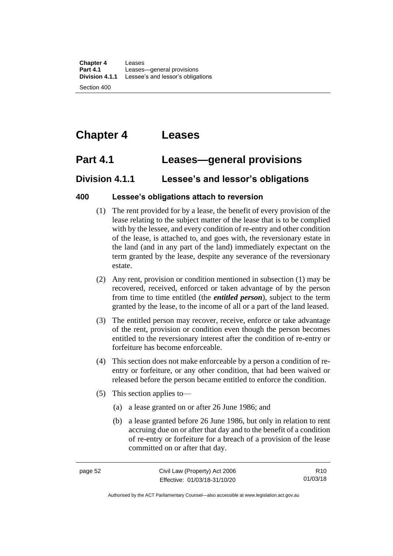**Chapter 4** Leases **Part 4.1** Leases—general provisions<br>**Division 4.1.1** Lessee's and lessor's obliga Lessee's and lessor's obligations

Section 400

# **Chapter 4 Leases**

### **Part 4.1 Leases—general provisions**

### **Division 4.1.1 Lessee's and lessor's obligations**

#### **400 Lessee's obligations attach to reversion**

- (1) The rent provided for by a lease, the benefit of every provision of the lease relating to the subject matter of the lease that is to be complied with by the lessee, and every condition of re-entry and other condition of the lease, is attached to, and goes with, the reversionary estate in the land (and in any part of the land) immediately expectant on the term granted by the lease, despite any severance of the reversionary estate.
- (2) Any rent, provision or condition mentioned in subsection (1) may be recovered, received, enforced or taken advantage of by the person from time to time entitled (the *entitled person*), subject to the term granted by the lease, to the income of all or a part of the land leased.
- (3) The entitled person may recover, receive, enforce or take advantage of the rent, provision or condition even though the person becomes entitled to the reversionary interest after the condition of re-entry or forfeiture has become enforceable.
- (4) This section does not make enforceable by a person a condition of reentry or forfeiture, or any other condition, that had been waived or released before the person became entitled to enforce the condition.
- (5) This section applies to—
	- (a) a lease granted on or after 26 June 1986; and
	- (b) a lease granted before 26 June 1986, but only in relation to rent accruing due on or after that day and to the benefit of a condition of re-entry or forfeiture for a breach of a provision of the lease committed on or after that day.

R10 01/03/18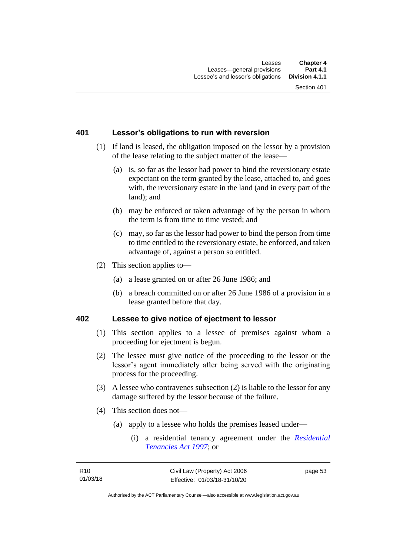#### **401 Lessor's obligations to run with reversion**

- (1) If land is leased, the obligation imposed on the lessor by a provision of the lease relating to the subject matter of the lease—
	- (a) is, so far as the lessor had power to bind the reversionary estate expectant on the term granted by the lease, attached to, and goes with, the reversionary estate in the land (and in every part of the land); and
	- (b) may be enforced or taken advantage of by the person in whom the term is from time to time vested; and
	- (c) may, so far as the lessor had power to bind the person from time to time entitled to the reversionary estate, be enforced, and taken advantage of, against a person so entitled.
- (2) This section applies to—
	- (a) a lease granted on or after 26 June 1986; and
	- (b) a breach committed on or after 26 June 1986 of a provision in a lease granted before that day.

#### **402 Lessee to give notice of ejectment to lessor**

- (1) This section applies to a lessee of premises against whom a proceeding for ejectment is begun.
- (2) The lessee must give notice of the proceeding to the lessor or the lessor's agent immediately after being served with the originating process for the proceeding.
- (3) A lessee who contravenes subsection (2) is liable to the lessor for any damage suffered by the lessor because of the failure.
- (4) This section does not—
	- (a) apply to a lessee who holds the premises leased under—
		- (i) a residential tenancy agreement under the *[Residential](http://www.legislation.act.gov.au/a/1997-84)  [Tenancies Act 1997](http://www.legislation.act.gov.au/a/1997-84)*; or

page 53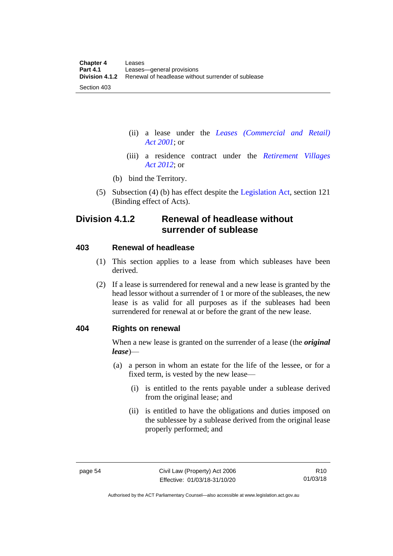- (ii) a lease under the *[Leases \(Commercial and Retail\)](http://www.legislation.act.gov.au/a/2001-18)  Act [2001](http://www.legislation.act.gov.au/a/2001-18)*; or
- (iii) a residence contract under the *[Retirement Villages](http://www.legislation.act.gov.au/a/2012-38)  Act [2012](http://www.legislation.act.gov.au/a/2012-38)*; or
- (b) bind the Territory.
- (5) Subsection (4) (b) has effect despite the [Legislation Act,](http://www.legislation.act.gov.au/a/2001-14) section 121 (Binding effect of Acts).

### **Division 4.1.2 Renewal of headlease without surrender of sublease**

#### **403 Renewal of headlease**

- (1) This section applies to a lease from which subleases have been derived.
- (2) If a lease is surrendered for renewal and a new lease is granted by the head lessor without a surrender of 1 or more of the subleases, the new lease is as valid for all purposes as if the subleases had been surrendered for renewal at or before the grant of the new lease.

#### **404 Rights on renewal**

When a new lease is granted on the surrender of a lease (the *original lease*)—

- (a) a person in whom an estate for the life of the lessee, or for a fixed term, is vested by the new lease—
	- (i) is entitled to the rents payable under a sublease derived from the original lease; and
	- (ii) is entitled to have the obligations and duties imposed on the sublessee by a sublease derived from the original lease properly performed; and

Authorised by the ACT Parliamentary Counsel—also accessible at www.legislation.act.gov.au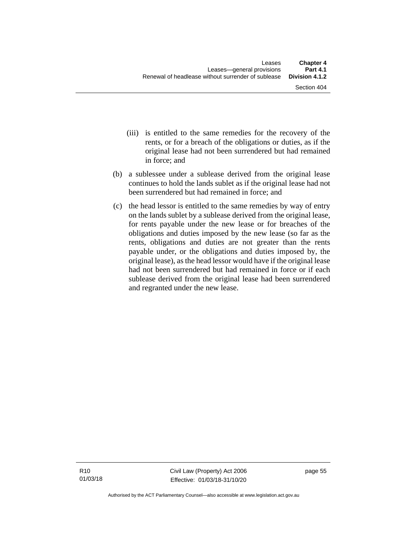- (iii) is entitled to the same remedies for the recovery of the rents, or for a breach of the obligations or duties, as if the original lease had not been surrendered but had remained in force; and
- (b) a sublessee under a sublease derived from the original lease continues to hold the lands sublet as if the original lease had not been surrendered but had remained in force; and
- (c) the head lessor is entitled to the same remedies by way of entry on the lands sublet by a sublease derived from the original lease, for rents payable under the new lease or for breaches of the obligations and duties imposed by the new lease (so far as the rents, obligations and duties are not greater than the rents payable under, or the obligations and duties imposed by, the original lease), as the head lessor would have if the original lease had not been surrendered but had remained in force or if each sublease derived from the original lease had been surrendered and regranted under the new lease.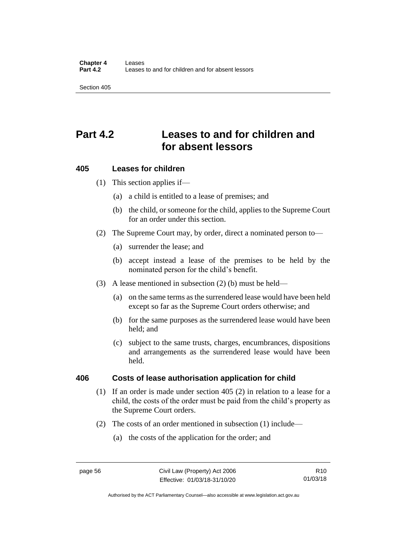# **Part 4.2 Leases to and for children and for absent lessors**

#### **405 Leases for children**

(1) This section applies if—

- (a) a child is entitled to a lease of premises; and
- (b) the child, or someone for the child, applies to the Supreme Court for an order under this section.
- (2) The Supreme Court may, by order, direct a nominated person to—
	- (a) surrender the lease; and
	- (b) accept instead a lease of the premises to be held by the nominated person for the child's benefit.
- (3) A lease mentioned in subsection (2) (b) must be held—
	- (a) on the same terms as the surrendered lease would have been held except so far as the Supreme Court orders otherwise; and
	- (b) for the same purposes as the surrendered lease would have been held; and
	- (c) subject to the same trusts, charges, encumbrances, dispositions and arrangements as the surrendered lease would have been held.

### **406 Costs of lease authorisation application for child**

- (1) If an order is made under section 405 (2) in relation to a lease for a child, the costs of the order must be paid from the child's property as the Supreme Court orders.
- (2) The costs of an order mentioned in subsection (1) include—
	- (a) the costs of the application for the order; and

R10 01/03/18

Authorised by the ACT Parliamentary Counsel—also accessible at www.legislation.act.gov.au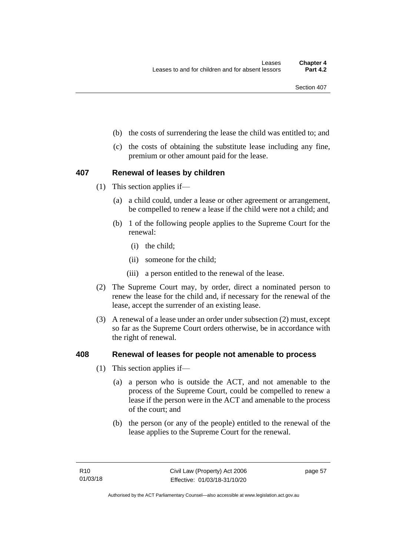- (b) the costs of surrendering the lease the child was entitled to; and
- (c) the costs of obtaining the substitute lease including any fine, premium or other amount paid for the lease.

#### **407 Renewal of leases by children**

- (1) This section applies if—
	- (a) a child could, under a lease or other agreement or arrangement, be compelled to renew a lease if the child were not a child; and
	- (b) 1 of the following people applies to the Supreme Court for the renewal:
		- (i) the child;
		- (ii) someone for the child;
		- (iii) a person entitled to the renewal of the lease.
- (2) The Supreme Court may, by order, direct a nominated person to renew the lease for the child and, if necessary for the renewal of the lease, accept the surrender of an existing lease.
- (3) A renewal of a lease under an order under subsection (2) must, except so far as the Supreme Court orders otherwise, be in accordance with the right of renewal.

#### **408 Renewal of leases for people not amenable to process**

- (1) This section applies if—
	- (a) a person who is outside the ACT, and not amenable to the process of the Supreme Court, could be compelled to renew a lease if the person were in the ACT and amenable to the process of the court; and
	- (b) the person (or any of the people) entitled to the renewal of the lease applies to the Supreme Court for the renewal.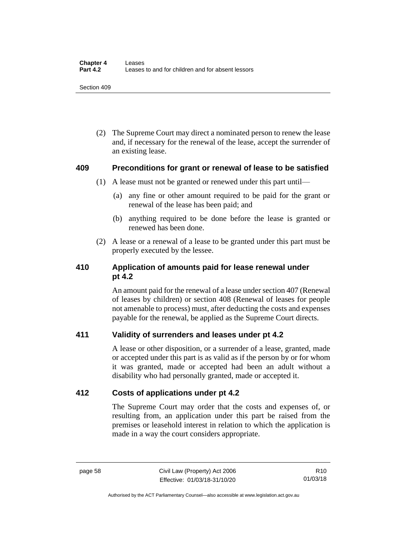(2) The Supreme Court may direct a nominated person to renew the lease and, if necessary for the renewal of the lease, accept the surrender of an existing lease.

#### **409 Preconditions for grant or renewal of lease to be satisfied**

- (1) A lease must not be granted or renewed under this part until—
	- (a) any fine or other amount required to be paid for the grant or renewal of the lease has been paid; and
	- (b) anything required to be done before the lease is granted or renewed has been done.
- (2) A lease or a renewal of a lease to be granted under this part must be properly executed by the lessee.

### **410 Application of amounts paid for lease renewal under pt 4.2**

An amount paid for the renewal of a lease under section 407 (Renewal of leases by children) or section 408 (Renewal of leases for people not amenable to process) must, after deducting the costs and expenses payable for the renewal, be applied as the Supreme Court directs.

### **411 Validity of surrenders and leases under pt 4.2**

A lease or other disposition, or a surrender of a lease, granted, made or accepted under this part is as valid as if the person by or for whom it was granted, made or accepted had been an adult without a disability who had personally granted, made or accepted it.

#### **412 Costs of applications under pt 4.2**

The Supreme Court may order that the costs and expenses of, or resulting from, an application under this part be raised from the premises or leasehold interest in relation to which the application is made in a way the court considers appropriate.

Authorised by the ACT Parliamentary Counsel—also accessible at www.legislation.act.gov.au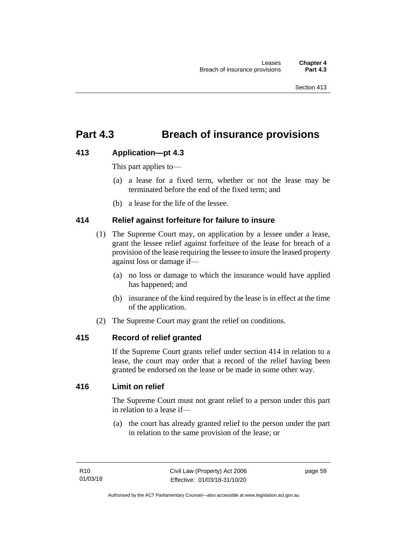## **Part 4.3 Breach of insurance provisions**

### **413 Application—pt 4.3**

This part applies to—

- (a) a lease for a fixed term, whether or not the lease may be terminated before the end of the fixed term; and
- (b) a lease for the life of the lessee.

#### **414 Relief against forfeiture for failure to insure**

- (1) The Supreme Court may, on application by a lessee under a lease, grant the lessee relief against forfeiture of the lease for breach of a provision of the lease requiring the lessee to insure the leased property against loss or damage if—
	- (a) no loss or damage to which the insurance would have applied has happened; and
	- (b) insurance of the kind required by the lease is in effect at the time of the application.
- (2) The Supreme Court may grant the relief on conditions.

#### **415 Record of relief granted**

If the Supreme Court grants relief under section 414 in relation to a lease, the court may order that a record of the relief having been granted be endorsed on the lease or be made in some other way.

#### **416 Limit on relief**

The Supreme Court must not grant relief to a person under this part in relation to a lease if—

(a) the court has already granted relief to the person under the part in relation to the same provision of the lease; or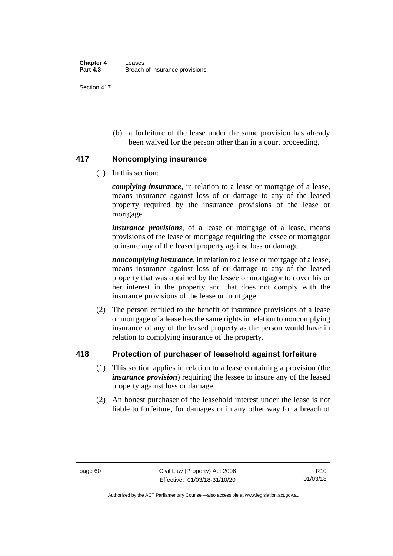(b) a forfeiture of the lease under the same provision has already been waived for the person other than in a court proceeding.

#### **417 Noncomplying insurance**

(1) In this section:

*complying insurance*, in relation to a lease or mortgage of a lease, means insurance against loss of or damage to any of the leased property required by the insurance provisions of the lease or mortgage.

*insurance provisions*, of a lease or mortgage of a lease, means provisions of the lease or mortgage requiring the lessee or mortgagor to insure any of the leased property against loss or damage.

*noncomplying insurance*, in relation to a lease or mortgage of a lease, means insurance against loss of or damage to any of the leased property that was obtained by the lessee or mortgagor to cover his or her interest in the property and that does not comply with the insurance provisions of the lease or mortgage.

(2) The person entitled to the benefit of insurance provisions of a lease or mortgage of a lease has the same rights in relation to noncomplying insurance of any of the leased property as the person would have in relation to complying insurance of the property.

### **418 Protection of purchaser of leasehold against forfeiture**

- (1) This section applies in relation to a lease containing a provision (the *insurance provision*) requiring the lessee to insure any of the leased property against loss or damage.
- (2) An honest purchaser of the leasehold interest under the lease is not liable to forfeiture, for damages or in any other way for a breach of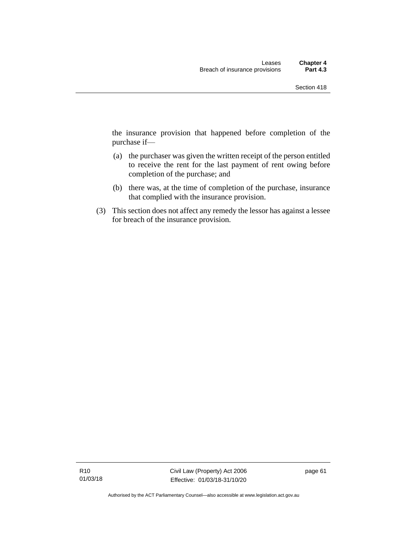the insurance provision that happened before completion of the purchase if—

- (a) the purchaser was given the written receipt of the person entitled to receive the rent for the last payment of rent owing before completion of the purchase; and
- (b) there was, at the time of completion of the purchase, insurance that complied with the insurance provision.
- (3) This section does not affect any remedy the lessor has against a lessee for breach of the insurance provision.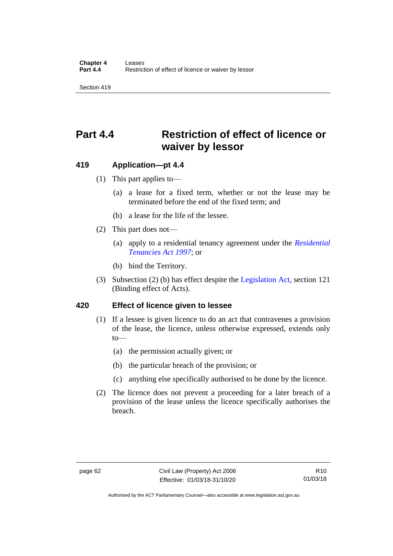# **Part 4.4 Restriction of effect of licence or waiver by lessor**

#### **419 Application—pt 4.4**

- (1) This part applies to—
	- (a) a lease for a fixed term, whether or not the lease may be terminated before the end of the fixed term; and
	- (b) a lease for the life of the lessee.
- (2) This part does not—
	- (a) apply to a residential tenancy agreement under the *[Residential](http://www.legislation.act.gov.au/a/1997-84)  [Tenancies Act 1997](http://www.legislation.act.gov.au/a/1997-84)*; or
	- (b) bind the Territory.
- (3) Subsection (2) (b) has effect despite the [Legislation Act,](http://www.legislation.act.gov.au/a/2001-14) section 121 (Binding effect of Acts).

#### **420 Effect of licence given to lessee**

- (1) If a lessee is given licence to do an act that contravenes a provision of the lease, the licence, unless otherwise expressed, extends only to—
	- (a) the permission actually given; or
	- (b) the particular breach of the provision; or
	- (c) anything else specifically authorised to be done by the licence.
- (2) The licence does not prevent a proceeding for a later breach of a provision of the lease unless the licence specifically authorises the breach.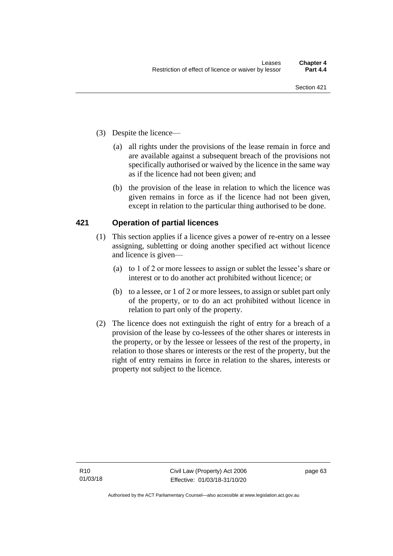- (3) Despite the licence—
	- (a) all rights under the provisions of the lease remain in force and are available against a subsequent breach of the provisions not specifically authorised or waived by the licence in the same way as if the licence had not been given; and
	- (b) the provision of the lease in relation to which the licence was given remains in force as if the licence had not been given, except in relation to the particular thing authorised to be done.

#### **421 Operation of partial licences**

- (1) This section applies if a licence gives a power of re-entry on a lessee assigning, subletting or doing another specified act without licence and licence is given—
	- (a) to 1 of 2 or more lessees to assign or sublet the lessee's share or interest or to do another act prohibited without licence; or
	- (b) to a lessee, or 1 of 2 or more lessees, to assign or sublet part only of the property, or to do an act prohibited without licence in relation to part only of the property.
- (2) The licence does not extinguish the right of entry for a breach of a provision of the lease by co-lessees of the other shares or interests in the property, or by the lessee or lessees of the rest of the property, in relation to those shares or interests or the rest of the property, but the right of entry remains in force in relation to the shares, interests or property not subject to the licence.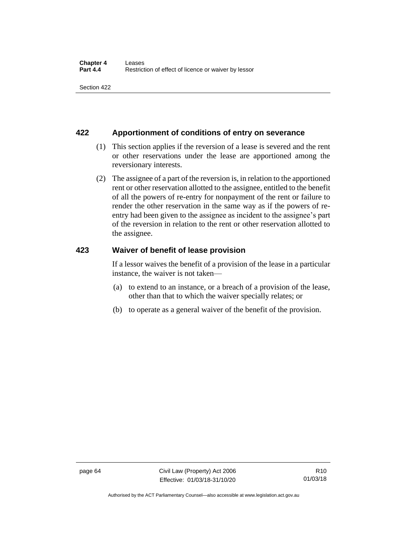#### **422 Apportionment of conditions of entry on severance**

- (1) This section applies if the reversion of a lease is severed and the rent or other reservations under the lease are apportioned among the reversionary interests.
- (2) The assignee of a part of the reversion is, in relation to the apportioned rent or other reservation allotted to the assignee, entitled to the benefit of all the powers of re-entry for nonpayment of the rent or failure to render the other reservation in the same way as if the powers of reentry had been given to the assignee as incident to the assignee's part of the reversion in relation to the rent or other reservation allotted to the assignee.

#### **423 Waiver of benefit of lease provision**

If a lessor waives the benefit of a provision of the lease in a particular instance, the waiver is not taken—

- (a) to extend to an instance, or a breach of a provision of the lease, other than that to which the waiver specially relates; or
- (b) to operate as a general waiver of the benefit of the provision.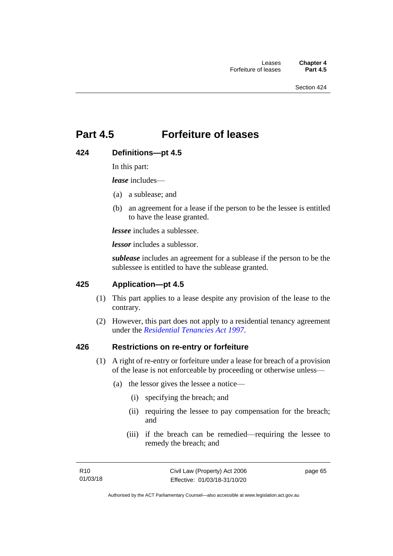### **Part 4.5 Forfeiture of leases**

#### **424 Definitions—pt 4.5**

In this part:

*lease* includes—

- (a) a sublease; and
- (b) an agreement for a lease if the person to be the lessee is entitled to have the lease granted.

*lessee* includes a sublessee.

*lessor* includes a sublessor.

*sublease* includes an agreement for a sublease if the person to be the sublessee is entitled to have the sublease granted.

#### **425 Application—pt 4.5**

- (1) This part applies to a lease despite any provision of the lease to the contrary.
- (2) However, this part does not apply to a residential tenancy agreement under the *[Residential Tenancies Act 1997](http://www.legislation.act.gov.au/a/1997-84)*.

#### **426 Restrictions on re-entry or forfeiture**

- (1) A right of re-entry or forfeiture under a lease for breach of a provision of the lease is not enforceable by proceeding or otherwise unless—
	- (a) the lessor gives the lessee a notice—
		- (i) specifying the breach; and
		- (ii) requiring the lessee to pay compensation for the breach; and
		- (iii) if the breach can be remedied—requiring the lessee to remedy the breach; and

page 65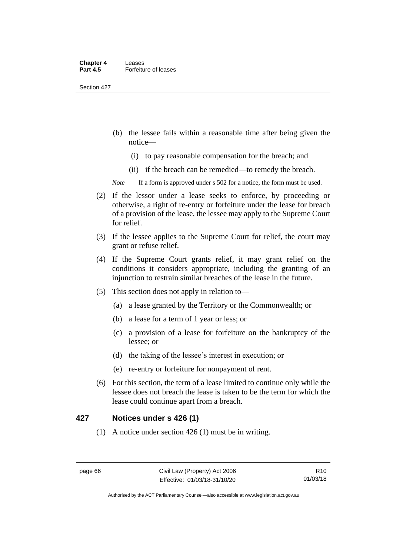Section 427

- (b) the lessee fails within a reasonable time after being given the notice—
	- (i) to pay reasonable compensation for the breach; and
	- (ii) if the breach can be remedied—to remedy the breach.

*Note* If a form is approved under s 502 for a notice, the form must be used.

- (2) If the lessor under a lease seeks to enforce, by proceeding or otherwise, a right of re-entry or forfeiture under the lease for breach of a provision of the lease, the lessee may apply to the Supreme Court for relief.
- (3) If the lessee applies to the Supreme Court for relief, the court may grant or refuse relief.
- (4) If the Supreme Court grants relief, it may grant relief on the conditions it considers appropriate, including the granting of an injunction to restrain similar breaches of the lease in the future.
- (5) This section does not apply in relation to—
	- (a) a lease granted by the Territory or the Commonwealth; or
	- (b) a lease for a term of 1 year or less; or
	- (c) a provision of a lease for forfeiture on the bankruptcy of the lessee; or
	- (d) the taking of the lessee's interest in execution; or
	- (e) re-entry or forfeiture for nonpayment of rent.
- (6) For this section, the term of a lease limited to continue only while the lessee does not breach the lease is taken to be the term for which the lease could continue apart from a breach.

#### **427 Notices under s 426 (1)**

(1) A notice under section 426 (1) must be in writing.

R10 01/03/18

Authorised by the ACT Parliamentary Counsel—also accessible at www.legislation.act.gov.au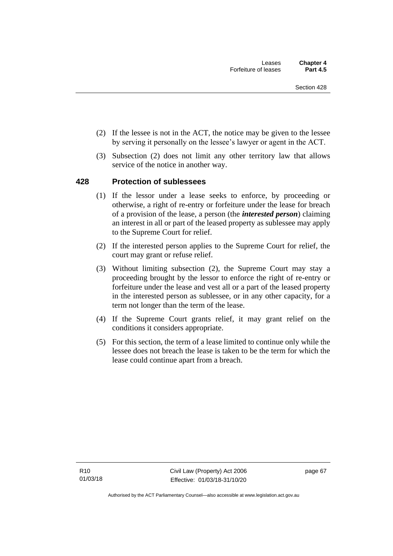- (2) If the lessee is not in the ACT, the notice may be given to the lessee by serving it personally on the lessee's lawyer or agent in the ACT.
- (3) Subsection (2) does not limit any other territory law that allows service of the notice in another way.

#### **428 Protection of sublessees**

- (1) If the lessor under a lease seeks to enforce, by proceeding or otherwise, a right of re-entry or forfeiture under the lease for breach of a provision of the lease, a person (the *interested person*) claiming an interest in all or part of the leased property as sublessee may apply to the Supreme Court for relief.
- (2) If the interested person applies to the Supreme Court for relief, the court may grant or refuse relief.
- (3) Without limiting subsection (2), the Supreme Court may stay a proceeding brought by the lessor to enforce the right of re-entry or forfeiture under the lease and vest all or a part of the leased property in the interested person as sublessee, or in any other capacity, for a term not longer than the term of the lease.
- (4) If the Supreme Court grants relief, it may grant relief on the conditions it considers appropriate.
- (5) For this section, the term of a lease limited to continue only while the lessee does not breach the lease is taken to be the term for which the lease could continue apart from a breach.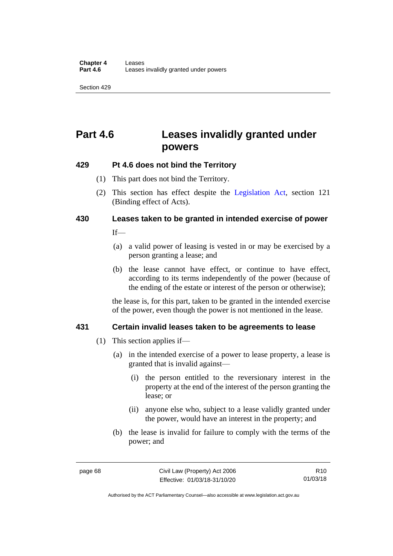Section 429

## **Part 4.6 Leases invalidly granted under powers**

### **429 Pt 4.6 does not bind the Territory**

- (1) This part does not bind the Territory.
- (2) This section has effect despite the [Legislation Act](http://www.legislation.act.gov.au/a/2001-14)*,* section 121 (Binding effect of Acts).

# **430 Leases taken to be granted in intended exercise of power**

 $If$ <sub>—</sub>

- (a) a valid power of leasing is vested in or may be exercised by a person granting a lease; and
- (b) the lease cannot have effect, or continue to have effect, according to its terms independently of the power (because of the ending of the estate or interest of the person or otherwise);

the lease is, for this part, taken to be granted in the intended exercise of the power, even though the power is not mentioned in the lease.

#### **431 Certain invalid leases taken to be agreements to lease**

- (1) This section applies if—
	- (a) in the intended exercise of a power to lease property, a lease is granted that is invalid against—
		- (i) the person entitled to the reversionary interest in the property at the end of the interest of the person granting the lease; or
		- (ii) anyone else who, subject to a lease validly granted under the power, would have an interest in the property; and
	- (b) the lease is invalid for failure to comply with the terms of the power; and

R10 01/03/18

Authorised by the ACT Parliamentary Counsel—also accessible at www.legislation.act.gov.au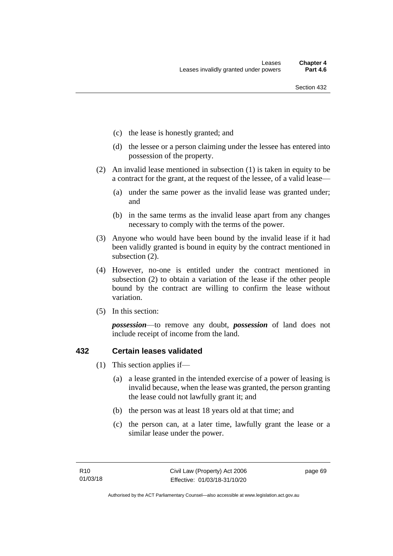- (c) the lease is honestly granted; and
- (d) the lessee or a person claiming under the lessee has entered into possession of the property.
- (2) An invalid lease mentioned in subsection (1) is taken in equity to be a contract for the grant, at the request of the lessee, of a valid lease—
	- (a) under the same power as the invalid lease was granted under; and
	- (b) in the same terms as the invalid lease apart from any changes necessary to comply with the terms of the power.
- (3) Anyone who would have been bound by the invalid lease if it had been validly granted is bound in equity by the contract mentioned in subsection (2).
- (4) However, no-one is entitled under the contract mentioned in subsection (2) to obtain a variation of the lease if the other people bound by the contract are willing to confirm the lease without variation.
- (5) In this section:

*possession*—to remove any doubt, *possession* of land does not include receipt of income from the land.

#### **432 Certain leases validated**

- (1) This section applies if—
	- (a) a lease granted in the intended exercise of a power of leasing is invalid because, when the lease was granted, the person granting the lease could not lawfully grant it; and
	- (b) the person was at least 18 years old at that time; and
	- (c) the person can, at a later time, lawfully grant the lease or a similar lease under the power.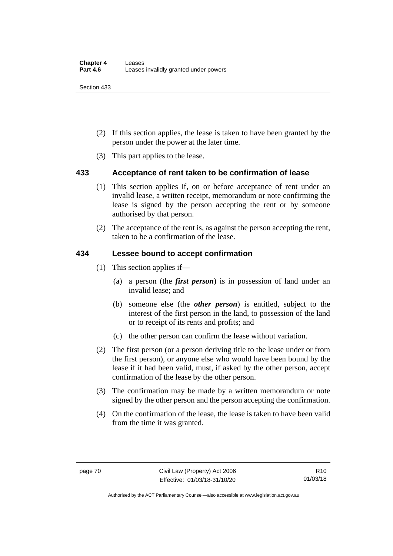Section 433

- (2) If this section applies, the lease is taken to have been granted by the person under the power at the later time.
- (3) This part applies to the lease.

#### **433 Acceptance of rent taken to be confirmation of lease**

- (1) This section applies if, on or before acceptance of rent under an invalid lease, a written receipt, memorandum or note confirming the lease is signed by the person accepting the rent or by someone authorised by that person.
- (2) The acceptance of the rent is, as against the person accepting the rent, taken to be a confirmation of the lease.

#### **434 Lessee bound to accept confirmation**

- (1) This section applies if—
	- (a) a person (the *first person*) is in possession of land under an invalid lease; and
	- (b) someone else (the *other person*) is entitled, subject to the interest of the first person in the land, to possession of the land or to receipt of its rents and profits; and
	- (c) the other person can confirm the lease without variation.
- (2) The first person (or a person deriving title to the lease under or from the first person), or anyone else who would have been bound by the lease if it had been valid, must, if asked by the other person, accept confirmation of the lease by the other person.
- (3) The confirmation may be made by a written memorandum or note signed by the other person and the person accepting the confirmation.
- (4) On the confirmation of the lease, the lease is taken to have been valid from the time it was granted.

Authorised by the ACT Parliamentary Counsel—also accessible at www.legislation.act.gov.au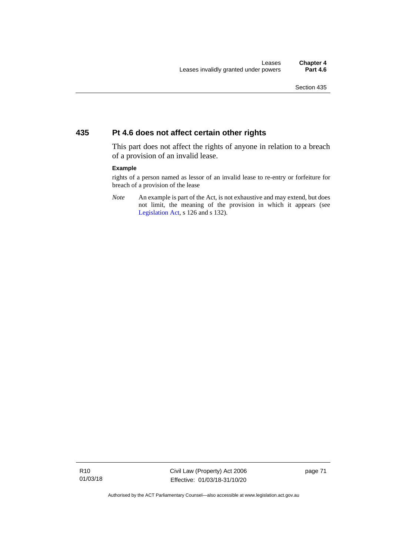#### **435 Pt 4.6 does not affect certain other rights**

This part does not affect the rights of anyone in relation to a breach of a provision of an invalid lease.

#### **Example**

rights of a person named as lessor of an invalid lease to re-entry or forfeiture for breach of a provision of the lease

*Note* An example is part of the Act, is not exhaustive and may extend, but does not limit, the meaning of the provision in which it appears (see [Legislation Act,](http://www.legislation.act.gov.au/a/2001-14) s 126 and s 132).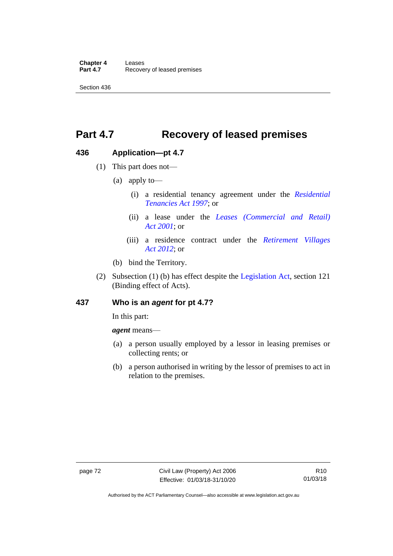Section 436

## **Part 4.7 Recovery of leased premises**

#### **436 Application—pt 4.7**

- (1) This part does not—
	- (a) apply to—
		- (i) a residential tenancy agreement under the *[Residential](http://www.legislation.act.gov.au/a/1997-84)  [Tenancies Act 1997](http://www.legislation.act.gov.au/a/1997-84)*; or
		- (ii) a lease under the *[Leases \(Commercial and Retail\)](http://www.legislation.act.gov.au/a/2001-18)  Act [2001](http://www.legislation.act.gov.au/a/2001-18)*; or
		- (iii) a residence contract under the *[Retirement Villages](http://www.legislation.act.gov.au/a/2012-38)  Act [2012](http://www.legislation.act.gov.au/a/2012-38)*; or
	- (b) bind the Territory.
- (2) Subsection (1) (b) has effect despite the [Legislation Act,](http://www.legislation.act.gov.au/a/2001-14) section 121 (Binding effect of Acts).

#### **437 Who is an** *agent* **for pt 4.7?**

In this part:

*agent* means—

- (a) a person usually employed by a lessor in leasing premises or collecting rents; or
- (b) a person authorised in writing by the lessor of premises to act in relation to the premises.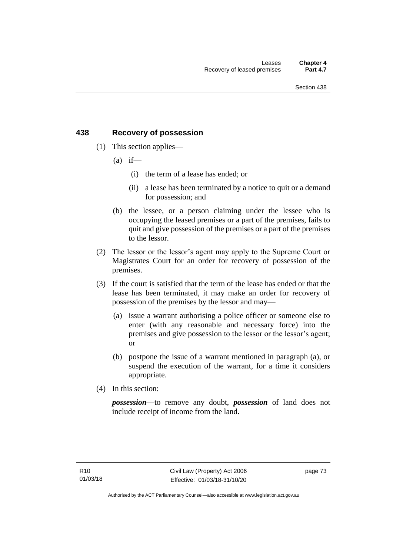#### **438 Recovery of possession**

- (1) This section applies—
	- $(a)$  if—
		- (i) the term of a lease has ended; or
		- (ii) a lease has been terminated by a notice to quit or a demand for possession; and
	- (b) the lessee, or a person claiming under the lessee who is occupying the leased premises or a part of the premises, fails to quit and give possession of the premises or a part of the premises to the lessor.
- (2) The lessor or the lessor's agent may apply to the Supreme Court or Magistrates Court for an order for recovery of possession of the premises.
- (3) If the court is satisfied that the term of the lease has ended or that the lease has been terminated, it may make an order for recovery of possession of the premises by the lessor and may—
	- (a) issue a warrant authorising a police officer or someone else to enter (with any reasonable and necessary force) into the premises and give possession to the lessor or the lessor's agent; or
	- (b) postpone the issue of a warrant mentioned in paragraph (a), or suspend the execution of the warrant, for a time it considers appropriate.
- (4) In this section:

*possession*—to remove any doubt, *possession* of land does not include receipt of income from the land.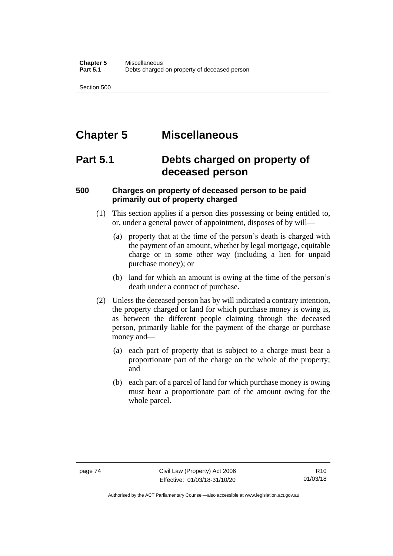Section 500

## **Chapter 5 Miscellaneous**

### **Part 5.1 Debts charged on property of deceased person**

#### **500 Charges on property of deceased person to be paid primarily out of property charged**

- (1) This section applies if a person dies possessing or being entitled to, or, under a general power of appointment, disposes of by will—
	- (a) property that at the time of the person's death is charged with the payment of an amount, whether by legal mortgage, equitable charge or in some other way (including a lien for unpaid purchase money); or
	- (b) land for which an amount is owing at the time of the person's death under a contract of purchase.
- (2) Unless the deceased person has by will indicated a contrary intention, the property charged or land for which purchase money is owing is, as between the different people claiming through the deceased person, primarily liable for the payment of the charge or purchase money and—
	- (a) each part of property that is subject to a charge must bear a proportionate part of the charge on the whole of the property; and
	- (b) each part of a parcel of land for which purchase money is owing must bear a proportionate part of the amount owing for the whole parcel.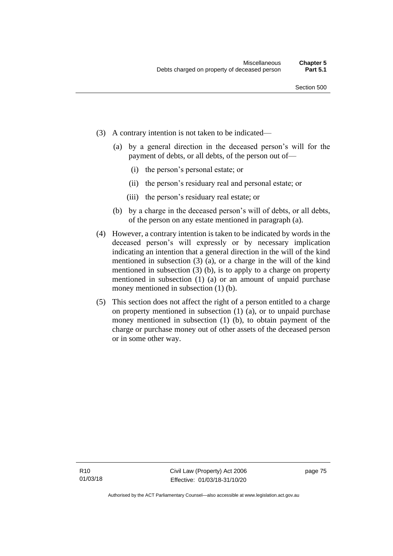- (3) A contrary intention is not taken to be indicated—
	- (a) by a general direction in the deceased person's will for the payment of debts, or all debts, of the person out of—
		- (i) the person's personal estate; or
		- (ii) the person's residuary real and personal estate; or
		- (iii) the person's residuary real estate; or
	- (b) by a charge in the deceased person's will of debts, or all debts, of the person on any estate mentioned in paragraph (a).
- (4) However, a contrary intention is taken to be indicated by words in the deceased person's will expressly or by necessary implication indicating an intention that a general direction in the will of the kind mentioned in subsection (3) (a), or a charge in the will of the kind mentioned in subsection (3) (b), is to apply to a charge on property mentioned in subsection (1) (a) or an amount of unpaid purchase money mentioned in subsection (1) (b).
- (5) This section does not affect the right of a person entitled to a charge on property mentioned in subsection (1) (a), or to unpaid purchase money mentioned in subsection (1) (b), to obtain payment of the charge or purchase money out of other assets of the deceased person or in some other way.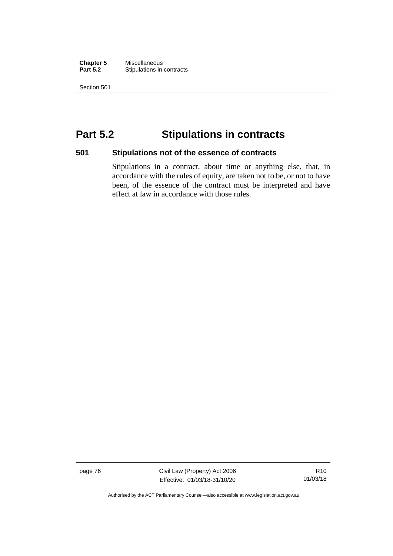**Chapter 5** Miscellaneous<br>**Part 5.2** Stipulations in **Stipulations in contracts** 

Section 501

### **Part 5.2 Stipulations in contracts**

#### **501 Stipulations not of the essence of contracts**

Stipulations in a contract, about time or anything else, that, in accordance with the rules of equity, are taken not to be, or not to have been, of the essence of the contract must be interpreted and have effect at law in accordance with those rules.

page 76 Civil Law (Property) Act 2006 Effective: 01/03/18-31/10/20

R10 01/03/18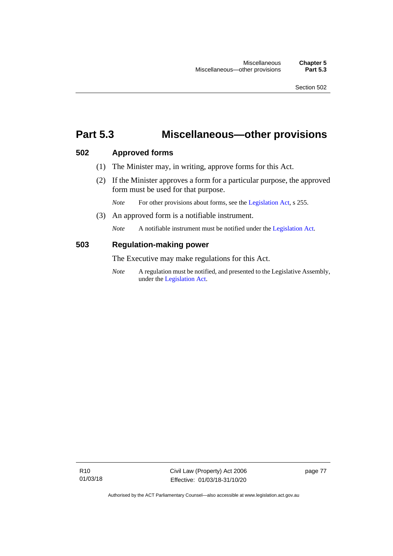### **Part 5.3 Miscellaneous—other provisions**

#### **502 Approved forms**

- (1) The Minister may, in writing, approve forms for this Act.
- (2) If the Minister approves a form for a particular purpose, the approved form must be used for that purpose.

*Note* For other provisions about forms, see th[e Legislation Act,](http://www.legislation.act.gov.au/a/2001-14) s 255.

(3) An approved form is a notifiable instrument.

*Note* A notifiable instrument must be notified under the [Legislation Act.](http://www.legislation.act.gov.au/a/2001-14)

#### **503 Regulation-making power**

The Executive may make regulations for this Act.

*Note* A regulation must be notified, and presented to the Legislative Assembly, under the [Legislation Act.](http://www.legislation.act.gov.au/a/2001-14)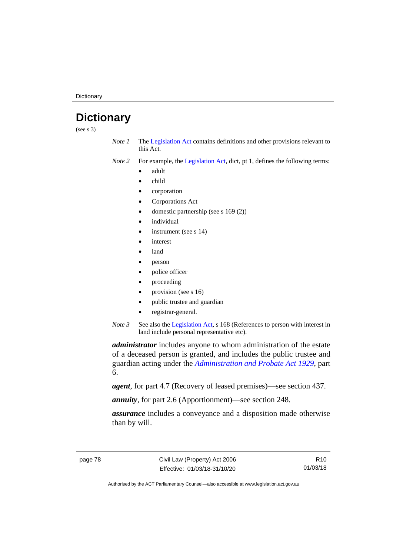**Dictionary** 

### **Dictionary**

(see s 3)

- *Note 1* The [Legislation Act](http://www.legislation.act.gov.au/a/2001-14) contains definitions and other provisions relevant to this Act.
- *Note 2* For example, the [Legislation Act,](http://www.legislation.act.gov.au/a/2001-14) dict, pt 1, defines the following terms:
	- adult
	- child
	- corporation
	- Corporations Act
	- domestic partnership (see s 169 (2))
	- *individual*
	- instrument (see s 14)
	- *interest*
	- land
	- person
	- police officer
	- proceeding
	- provision (see s 16)
	- public trustee and guardian
	- registrar-general.
- *Note 3* See also the [Legislation Act,](http://www.legislation.act.gov.au/a/2001-14) s 168 (References to person with interest in land include personal representative etc).

*administrator* includes anyone to whom administration of the estate of a deceased person is granted, and includes the public trustee and guardian acting under the *[Administration and Probate Act 1929](http://www.legislation.act.gov.au/a/1929-18)*, part 6.

*agent*, for part 4.7 (Recovery of leased premises)—see section 437.

*annuity*, for part 2.6 (Apportionment)—see section 248.

*assurance* includes a conveyance and a disposition made otherwise than by will.

R10 01/03/18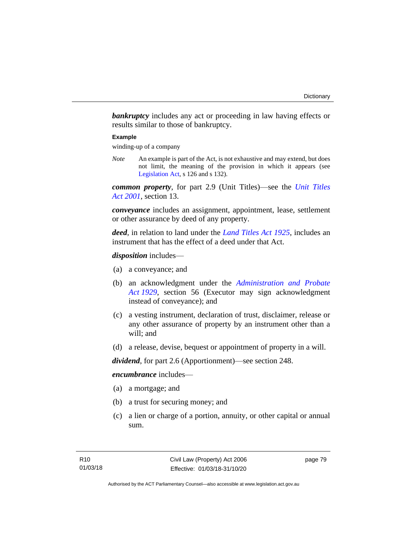**bankruptcy** includes any act or proceeding in law having effects or results similar to those of bankruptcy.

#### **Example**

winding-up of a company

*Note* An example is part of the Act, is not exhaustive and may extend, but does not limit, the meaning of the provision in which it appears (see [Legislation Act,](http://www.legislation.act.gov.au/a/2001-14) s 126 and s 132).

*common property*, for part 2.9 (Unit Titles)—see the *[Unit Titles](http://www.legislation.act.gov.au/a/2001-16)  Act [2001](http://www.legislation.act.gov.au/a/2001-16)*, section 13.

*conveyance* includes an assignment, appointment, lease, settlement or other assurance by deed of any property.

*deed*, in relation to land under the *[Land Titles Act 1925](http://www.legislation.act.gov.au/a/1925-1)*, includes an instrument that has the effect of a deed under that Act.

*disposition* includes—

- (a) a conveyance; and
- (b) an acknowledgment under the *[Administration and Probate](http://www.legislation.act.gov.au/a/1929-18)  Act [1929](http://www.legislation.act.gov.au/a/1929-18)*, section 56 (Executor may sign acknowledgment instead of conveyance); and
- (c) a vesting instrument, declaration of trust, disclaimer, release or any other assurance of property by an instrument other than a will; and
- (d) a release, devise, bequest or appointment of property in a will.

*dividend*, for part 2.6 (Apportionment)—see section 248.

*encumbrance* includes—

- (a) a mortgage; and
- (b) a trust for securing money; and
- (c) a lien or charge of a portion, annuity, or other capital or annual sum.

page 79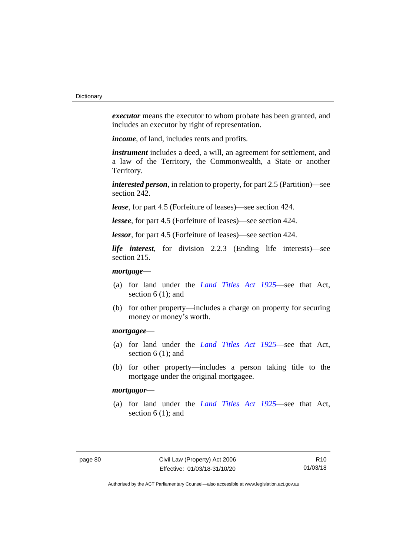*executor* means the executor to whom probate has been granted, and includes an executor by right of representation.

*income*, of land, includes rents and profits.

*instrument* includes a deed, a will, an agreement for settlement, and a law of the Territory, the Commonwealth, a State or another Territory.

*interested person*, in relation to property, for part 2.5 (Partition)—see section 242.

*lease*, for part 4.5 (Forfeiture of leases)—see section 424.

*lessee*, for part 4.5 (Forfeiture of leases)—see section 424.

*lessor*, for part 4.5 (Forfeiture of leases)—see section 424.

*life interest*, for division 2.2.3 (Ending life interests)—see section 215.

#### *mortgage*—

- (a) for land under the *[Land Titles Act 1925](http://www.legislation.act.gov.au/a/1925-1)*—see that Act, section 6 (1); and
- (b) for other property—includes a charge on property for securing money or money's worth.

#### *mortgagee*—

- (a) for land under the *[Land Titles Act 1925](http://www.legislation.act.gov.au/a/1925-1)*—see that Act, section 6 (1); and
- (b) for other property—includes a person taking title to the mortgage under the original mortgagee.

#### *mortgagor*—

(a) for land under the *[Land Titles Act 1925](http://www.legislation.act.gov.au/a/1925-1)*—see that Act, section 6 (1); and

R10 01/03/18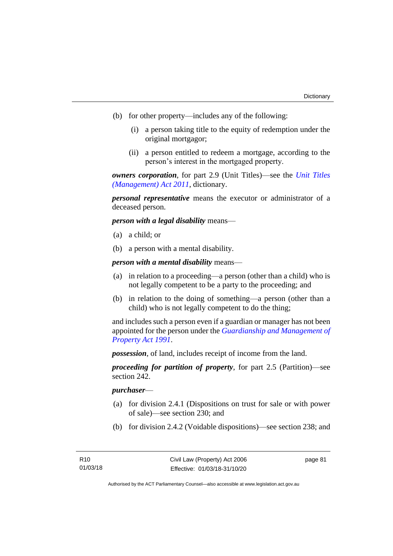- (b) for other property—includes any of the following:
	- (i) a person taking title to the equity of redemption under the original mortgagor;
	- (ii) a person entitled to redeem a mortgage, according to the person's interest in the mortgaged property.

*owners corporation*, for part 2.9 (Unit Titles)—see the *[Unit Titles](http://www.legislation.act.gov.au/a/2011-41)  [\(Management\) Act](http://www.legislation.act.gov.au/a/2011-41) 2011*, dictionary.

*personal representative* means the executor or administrator of a deceased person.

*person with a legal disability* means—

- (a) a child; or
- (b) a person with a mental disability.

*person with a mental disability* means—

- (a) in relation to a proceeding—a person (other than a child) who is not legally competent to be a party to the proceeding; and
- (b) in relation to the doing of something—a person (other than a child) who is not legally competent to do the thing;

and includes such a person even if a guardian or manager has not been appointed for the person under the *[Guardianship and Management of](http://www.legislation.act.gov.au/a/1991-62)  [Property Act 1991](http://www.legislation.act.gov.au/a/1991-62)*.

*possession*, of land, includes receipt of income from the land.

*proceeding for partition of property*, for part 2.5 (Partition)—see section 242.

#### *purchaser*—

- (a) for division 2.4.1 (Dispositions on trust for sale or with power of sale)—see section 230; and
- (b) for division 2.4.2 (Voidable dispositions)—see section 238; and

page 81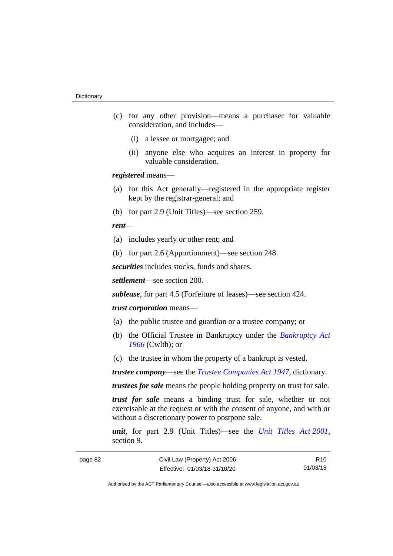- (c) for any other provision—means a purchaser for valuable consideration, and includes—
	- (i) a lessee or mortgagee; and
	- (ii) anyone else who acquires an interest in property for valuable consideration.

*registered* means—

- (a) for this Act generally—registered in the appropriate register kept by the registrar-general; and
- (b) for part 2.9 (Unit Titles)—see section 259.

#### *rent*—

- (a) includes yearly or other rent; and
- (b) for part 2.6 (Apportionment)—see section 248.

*securities* includes stocks, funds and shares.

*settlement*—see section 200.

*sublease*, for part 4.5 (Forfeiture of leases)—see section 424.

#### *trust corporation* means—

- (a) the public trustee and guardian or a trustee company; or
- (b) the Official Trustee in Bankruptcy under the *[Bankruptcy Act](http://www.comlaw.gov.au/Series/C2004A07422)  [1966](http://www.comlaw.gov.au/Series/C2004A07422)* (Cwlth); or
- (c) the trustee in whom the property of a bankrupt is vested.

*trustee company*—see the *[Trustee Companies Act 1947](http://www.legislation.act.gov.au/a/1947-15)*, dictionary.

*trustees for sale* means the people holding property on trust for sale.

*trust for sale* means a binding trust for sale, whether or not exercisable at the request or with the consent of anyone, and with or without a discretionary power to postpone sale.

*unit*, for part 2.9 (Unit Titles)—see the *[Unit Titles Act](http://www.legislation.act.gov.au/a/2001-16) 2001*, section 9.

R10 01/03/18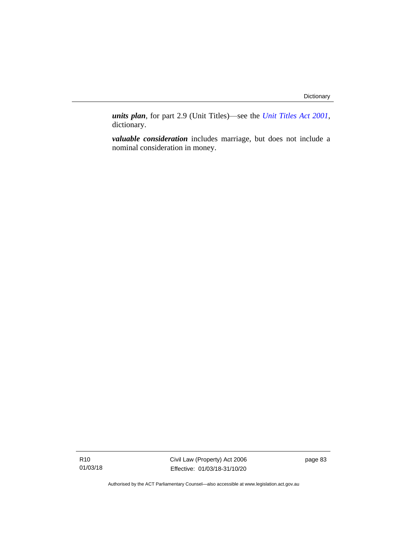*units plan*, for part 2.9 (Unit Titles)—see the *[Unit Titles Act 2001](http://www.legislation.act.gov.au/a/2001-16)*, dictionary.

*valuable consideration* includes marriage, but does not include a nominal consideration in money.

Civil Law (Property) Act 2006 Effective: 01/03/18-31/10/20

page 83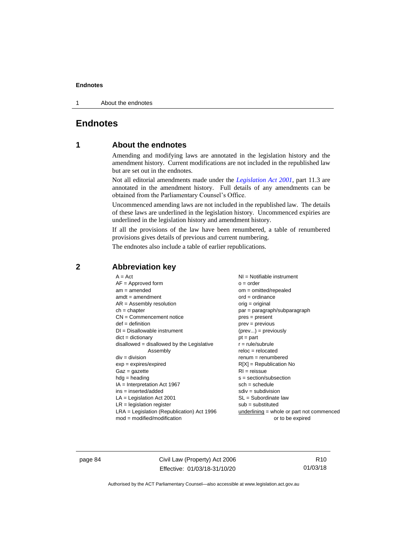1 About the endnotes

#### **Endnotes**

#### **1 About the endnotes**

Amending and modifying laws are annotated in the legislation history and the amendment history. Current modifications are not included in the republished law but are set out in the endnotes.

Not all editorial amendments made under the *[Legislation Act 2001](http://www.legislation.act.gov.au/a/2001-14)*, part 11.3 are annotated in the amendment history. Full details of any amendments can be obtained from the Parliamentary Counsel's Office.

Uncommenced amending laws are not included in the republished law. The details of these laws are underlined in the legislation history. Uncommenced expiries are underlined in the legislation history and amendment history.

If all the provisions of the law have been renumbered, a table of renumbered provisions gives details of previous and current numbering.

The endnotes also include a table of earlier republications.

| $A = Act$                                    | $NI =$ Notifiable instrument              |
|----------------------------------------------|-------------------------------------------|
| $AF =$ Approved form                         | $o = order$                               |
| $am = amended$                               | $om = omitted/report$                     |
| $amdt = amendment$                           | $ord = ordinance$                         |
| $AR = Assembly resolution$                   | $orig = original$                         |
| $ch = chapter$                               | $par = paragraph/subparagraph$            |
| $CN =$ Commencement notice                   | $pres = present$                          |
| $def = definition$                           | $prev = previous$                         |
| $DI = Disallowable instrument$               | $(\text{prev}) = \text{previously}$       |
| $dict = dictionary$                          | $pt = part$                               |
| $disallowed = disallowed by the Legislative$ | $r = rule/subrule$                        |
| Assembly                                     | $reloc = relocated$                       |
| $div =$ division                             | $remum = renumbered$                      |
| $exp = expires/expired$                      | $R[X]$ = Republication No                 |
| $Gaz = gazette$                              | $RI = reissue$                            |
| $hdg =$ heading                              | $s = section/subsection$                  |
| $IA = Interpretation Act 1967$               | $sch = schedule$                          |
| $ins = inserted/added$                       | $sdiv = subdivision$                      |
| $LA =$ Legislation Act 2001                  | $SL = Subordinate$ law                    |
| $LR =$ legislation register                  | $sub = substituted$                       |
| $LRA =$ Legislation (Republication) Act 1996 | underlining = whole or part not commenced |
| $mod = modified/modification$                | or to be expired                          |
|                                              |                                           |

#### **2 Abbreviation key**

page 84 Civil Law (Property) Act 2006 Effective: 01/03/18-31/10/20

R10 01/03/18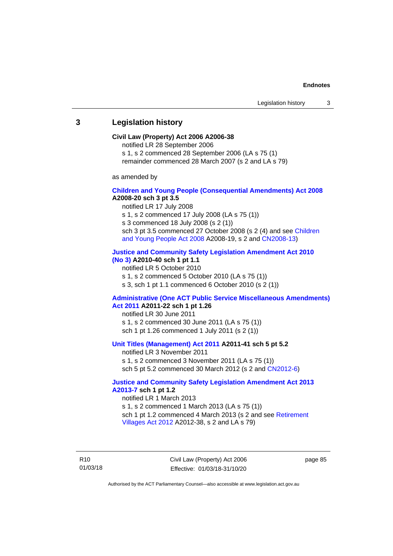#### **3 Legislation history**

#### **Civil Law (Property) Act 2006 A2006-38**

notified LR 28 September 2006

s 1, s 2 commenced 28 September 2006 (LA s 75 (1)

remainder commenced 28 March 2007 (s 2 and LA s 79)

as amended by

#### **[Children and Young People \(Consequential Amendments\) Act 2008](http://www.legislation.act.gov.au/a/2008-20) A2008-20 sch 3 pt 3.5**

notified LR 17 July 2008

s 1, s 2 commenced 17 July 2008 (LA s 75 (1))

s 3 commenced 18 July 2008 (s 2 (1))

sch 3 pt 3.5 commenced 27 October 2008 (s 2 (4) and see [Children](http://www.legislation.act.gov.au/a/2008-19)  [and Young People Act 2008](http://www.legislation.act.gov.au/a/2008-19) A2008-19, s 2 and [CN2008-13\)](http://www.legislation.act.gov.au/cn/2008-13/default.asp)

#### **[Justice and Community Safety Legislation Amendment Act 2010](http://www.legislation.act.gov.au/a/2010-40)**

**[\(No](http://www.legislation.act.gov.au/a/2010-40) 3) A2010-40 sch 1 pt 1.1**

notified LR 5 October 2010

s 1, s 2 commenced 5 October 2010 (LA s 75 (1)) s 3, sch 1 pt 1.1 commenced 6 October 2010 (s 2 (1))

#### **[Administrative \(One ACT Public Service Miscellaneous Amendments\)](http://www.legislation.act.gov.au/a/2011-22)  Act [2011](http://www.legislation.act.gov.au/a/2011-22) A2011-22 sch 1 pt 1.26**

notified LR 30 June 2011 s 1, s 2 commenced 30 June 2011 (LA s 75 (1)) sch 1 pt 1.26 commenced 1 July 2011 (s 2 (1))

#### **[Unit Titles \(Management\) Act 2011](http://www.legislation.act.gov.au/a/2011-41) A2011-41 sch 5 pt 5.2**

notified LR 3 November 2011 s 1, s 2 commenced 3 November 2011 (LA s 75 (1)) sch 5 pt 5.2 commenced 30 March 2012 (s 2 and [CN2012-6\)](http://www.legislation.act.gov.au/cn/2012-6/default.asp)

#### **[Justice and Community Safety Legislation Amendment Act 2013](http://www.legislation.act.gov.au/a/2013-7/default.asp)  [A2013-7](http://www.legislation.act.gov.au/a/2013-7/default.asp) sch 1 pt 1.2**

notified LR 1 March 2013 s 1, s 2 commenced 1 March 2013 (LA s 75 (1)) sch 1 pt 1.2 commenced 4 March 2013 (s 2 and see Retirement [Villages Act](http://www.legislation.act.gov.au/a/2012-38) 2012 A2012-38, s 2 and LA s 79)

R10 01/03/18 Civil Law (Property) Act 2006 Effective: 01/03/18-31/10/20

page 85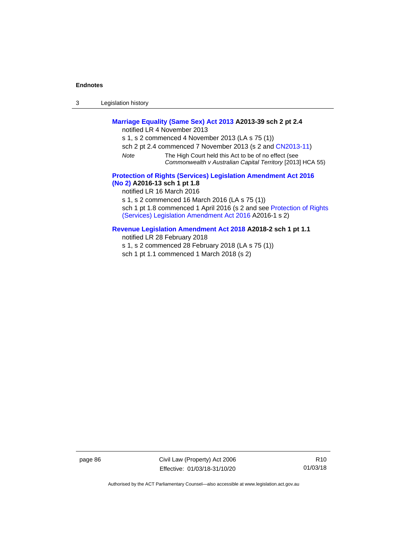3 Legislation history

#### **[Marriage Equality \(Same Sex\) Act 2013](http://www.legislation.act.gov.au/a/2013-39) A2013-39 sch 2 pt 2.4**

notified LR 4 November 2013

s 1, s 2 commenced 4 November 2013 (LA s 75 (1))

- sch 2 pt 2.4 commenced 7 November 2013 (s 2 and [CN2013-11\)](http://www.legislation.act.gov.au/cn/2013-11)
- *Note* The High Court held this Act to be of no effect (see *Commonwealth v Australian Capital Territory* [2013] HCA 55)

#### **[Protection of Rights \(Services\) Legislation Amendment Act 2016](http://www.legislation.act.gov.au/a/2016-13)  [\(No](http://www.legislation.act.gov.au/a/2016-13) 2) A2016-13 sch 1 pt 1.8**

notified LR 16 March 2016

s 1, s 2 commenced 16 March 2016 (LA s 75 (1))

sch 1 pt 1.8 commenced 1 April 2016 (s 2 and see Protection of Rights [\(Services\) Legislation Amendment Act 2016](http://www.legislation.act.gov.au/a/2016-1/default.asp) A2016-1 s 2)

#### **[Revenue Legislation Amendment Act 2018](http://www.legislation.act.gov.au/a/2018-2/default.asp) A2018-2 sch 1 pt 1.1**

notified LR 28 February 2018

s 1, s 2 commenced 28 February 2018 (LA s 75 (1))

sch 1 pt 1.1 commenced 1 March 2018 (s 2)

page 86 Civil Law (Property) Act 2006 Effective: 01/03/18-31/10/20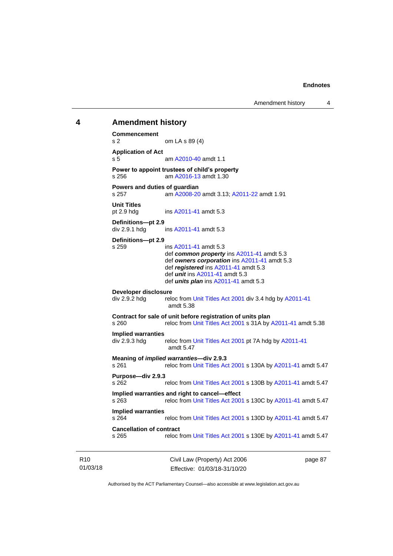Amendment history 4

### **4 Amendment history Commencement**  s 2 om LA s 89 (4) **Application of Act** s 5 am [A2010-40](http://www.legislation.act.gov.au/a/2010-40) amdt 1.1 **Power to appoint trustees of child's property** s 256 am [A2016-13](http://www.legislation.act.gov.au/a/2016-13) amdt 1.30 **Powers and duties of guardian** s 257 am [A2008-20](http://www.legislation.act.gov.au/a/2008-20) amdt 3.13[; A2011-22](http://www.legislation.act.gov.au/a/2011-22) amdt 1.91 **Unit Titles** pt 2.9 hdg ins [A2011-41](http://www.legislation.act.gov.au/a/2011-41) amdt 5.3 **Definitions—pt 2.9** div 2.9.1 hdg ins [A2011-41](http://www.legislation.act.gov.au/a/2011-41) amdt 5.3 **Definitions—pt 2.9** s 259 ins [A2011-41](http://www.legislation.act.gov.au/a/2011-41) amdt 5.3 def *common property* ins [A2011-41](http://www.legislation.act.gov.au/a/2011-41) amdt 5.3 def *owners corporation* in[s A2011-41](http://www.legislation.act.gov.au/a/2011-41) amdt 5.3 def *registered* ins [A2011-41](http://www.legislation.act.gov.au/a/2011-41) amdt 5.3 def *unit* ins [A2011-41](http://www.legislation.act.gov.au/a/2011-41) amdt 5.3 def *units plan* ins [A2011-41](http://www.legislation.act.gov.au/a/2011-41) amdt 5.3 **Developer disclosure**<br>div 2.9.2 hdg relo reloc from [Unit Titles Act 2001](http://www.legislation.act.gov.au/a/2001-16) div 3.4 hdg b[y A2011-41](http://www.legislation.act.gov.au/a/2011-41) amdt 5.38 **Contract for sale of unit before registration of units plan** s 260 reloc fro[m Unit Titles Act 2001](http://www.legislation.act.gov.au/a/2001-16) s 31A b[y A2011-41](http://www.legislation.act.gov.au/a/2011-41) amdt 5.38 **Implied warranties** div 2.9.3 hdg reloc fro[m Unit Titles Act 2001](http://www.legislation.act.gov.au/a/2001-16) pt 7A hdg by [A2011-41](http://www.legislation.act.gov.au/a/2011-41) amdt 5.47 **Meaning of** *implied warranties***—div 2.9.3** s 261 reloc fro[m Unit Titles Act 2001](http://www.legislation.act.gov.au/a/2001-16) s 130A b[y A2011-41](http://www.legislation.act.gov.au/a/2011-41) amdt 5.47 **Purpose—div 2.9.3** s 262 reloc fro[m Unit Titles Act 2001](http://www.legislation.act.gov.au/a/2001-16) s 130B b[y A2011-41](http://www.legislation.act.gov.au/a/2011-41) amdt 5.47 **Implied warranties and right to cancel—effect** reloc fro[m Unit Titles Act 2001](http://www.legislation.act.gov.au/a/2001-16) s 130C by [A2011-41](http://www.legislation.act.gov.au/a/2011-41) amdt 5.47 **Implied warranties** s 264 reloc fro[m Unit Titles Act 2001](http://www.legislation.act.gov.au/a/2001-16) s 130D by [A2011-41](http://www.legislation.act.gov.au/a/2011-41) amdt 5.47 **Cancellation of contract** s 265 reloc fro[m Unit Titles Act 2001](http://www.legislation.act.gov.au/a/2001-16) s 130E b[y A2011-41](http://www.legislation.act.gov.au/a/2011-41) amdt 5.47

R10 01/03/18 Civil Law (Property) Act 2006 Effective: 01/03/18-31/10/20 page 87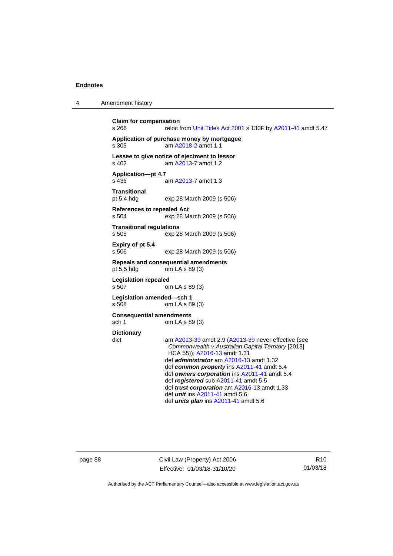| 4 | Amendment history |
|---|-------------------|
|   |                   |

```
Claim for compensation
s 266 reloc from Unit Titles Act 2001 s 130F by A2011-41 amdt 5.47
Application of purchase money by mortgagee
s 305 am A2018-2 amdt 1.1
Lessee to give notice of ejectment to lessor
s 402 am A2013-7 amdt 1.2
Application—pt 4.7
s 436 am A2013-7 amdt 1.3
Transitional
pt 5.4 hdg exp 28 March 2009 (s 506)
References to repealed Act
s 504 exp 28 March 2009 (s 506)
Transitional regulations
                exp 28 March 2009 (s 506)
Expiry of pt 5.4
s 506 exp 28 March 2009 (s 506)
Repeals and consequential amendments
pt 5.5 hdg om LA s 89 (3)
Legislation repealed
s 507 om LA s 89 (3)
Legislation amended—sch 1
s 508 om LA s 89 (3)
Consequential amendments
sch 1 om LA s 89 (3)
Dictionary
dict am A2013-39 amdt 2.9 (A2013-39 never effective (see 
                 Commonwealth v Australian Capital Territory [2013] 
                 HCA 55)); A2016-13 amdt 1.31
                def administrator am A2016-13 amdt 1.32
                def common property ins A2011-41 amdt 5.4
                def owners corporation ins A2011-41 amdt 5.4
                def registered sub A2011-41 amdt 5.5
                def trust corporation am A2016-13 amdt 1.33
                def unit ins A2011-41 amdt 5.6
                def units plan ins A2011-41 amdt 5.6
```
page 88 Civil Law (Property) Act 2006 Effective: 01/03/18-31/10/20

R10 01/03/18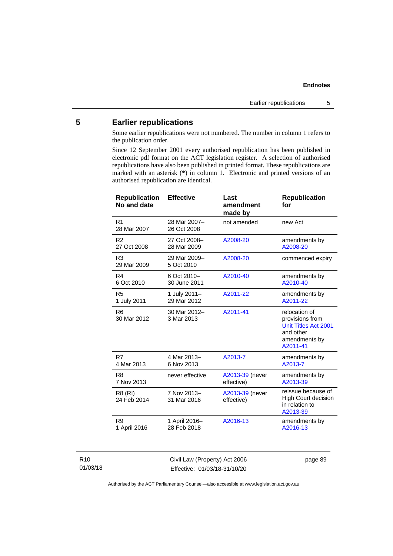#### **5 Earlier republications**

Some earlier republications were not numbered. The number in column 1 refers to the publication order.

Since 12 September 2001 every authorised republication has been published in electronic pdf format on the ACT legislation register. A selection of authorised republications have also been published in printed format. These republications are marked with an asterisk (\*) in column 1. Electronic and printed versions of an authorised republication are identical.

| <b>Republication</b><br>No and date | <b>Effective</b>            | Last<br>amendment<br>made by  | <b>Republication</b><br>for                                                                        |
|-------------------------------------|-----------------------------|-------------------------------|----------------------------------------------------------------------------------------------------|
| R <sub>1</sub><br>28 Mar 2007       | 28 Mar 2007-<br>26 Oct 2008 | not amended                   | new Act                                                                                            |
| R <sub>2</sub>                      | 27 Oct 2008-                | A2008-20                      | amendments by                                                                                      |
| 27 Oct 2008                         | 28 Mar 2009                 |                               | A2008-20                                                                                           |
| R <sub>3</sub><br>29 Mar 2009       | 29 Mar 2009-<br>5 Oct 2010  | A2008-20                      | commenced expiry                                                                                   |
| R <sub>4</sub>                      | 6 Oct 2010-                 | A2010-40                      | amendments by                                                                                      |
| 6 Oct 2010                          | 30 June 2011                |                               | A2010-40                                                                                           |
| R <sub>5</sub>                      | 1 July 2011-                | A2011-22                      | amendments by                                                                                      |
| 1 July 2011                         | 29 Mar 2012                 |                               | A2011-22                                                                                           |
| R <sub>6</sub><br>30 Mar 2012       | 30 Mar 2012-<br>3 Mar 2013  | A2011-41                      | relocation of<br>provisions from<br>Unit Titles Act 2001<br>and other<br>amendments by<br>A2011-41 |
| R7                                  | 4 Mar 2013-                 | A2013-7                       | amendments by                                                                                      |
| 4 Mar 2013                          | 6 Nov 2013                  |                               | A2013-7                                                                                            |
| R <sub>8</sub>                      | never effective             | A2013-39 (never               | amendments by                                                                                      |
| 7 Nov 2013                          |                             | effective)                    | A2013-39                                                                                           |
| R8 (RI)<br>24 Feb 2014              | 7 Nov 2013-<br>31 Mar 2016  | A2013-39 (never<br>effective) | reissue because of<br>High Court decision<br>in relation to<br>A2013-39                            |
| R <sub>9</sub>                      | 1 April 2016-               | A2016-13                      | amendments by                                                                                      |
| 1 April 2016                        | 28 Feb 2018                 |                               | A2016-13                                                                                           |

#### R10 01/03/18

Civil Law (Property) Act 2006 Effective: 01/03/18-31/10/20

page 89